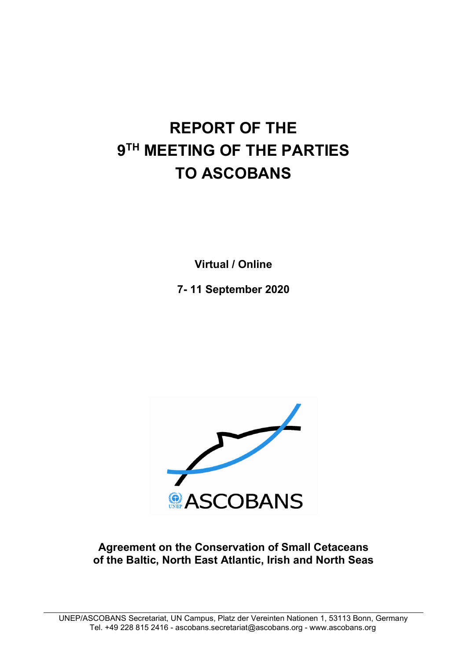# **REPORT OF THE 9TH MEETING OF THE PARTIES TO ASCOBANS**

**Virtual / Online**

**7- 11 September 2020**



**Agreement on the Conservation of Small Cetaceans of the Baltic, North East Atlantic, Irish and North Seas**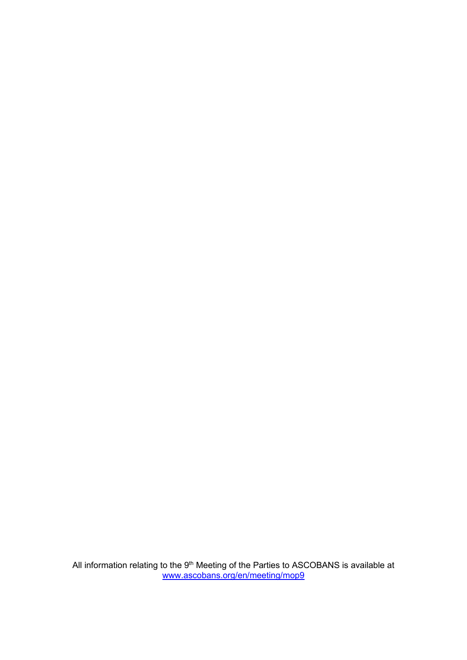All information relating to the  $9<sup>th</sup>$  Meeting of the Parties to ASCOBANS is available at [www.ascobans.org/en/meeting/mop9](http://www.ascobans.org/en/meeting/mop9)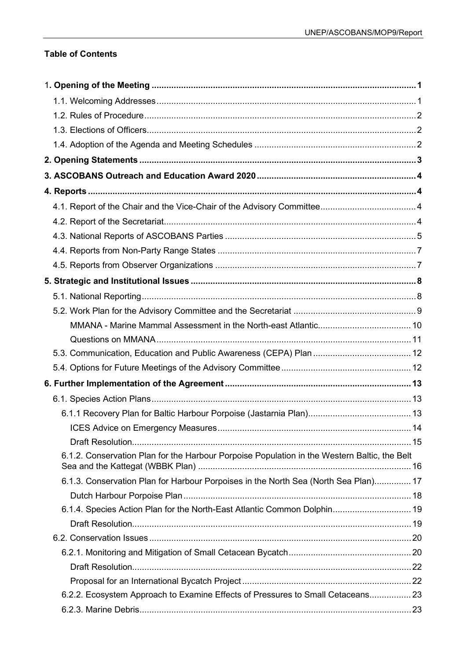# **Table of Contents**

| 14                                                                                           |  |
|----------------------------------------------------------------------------------------------|--|
|                                                                                              |  |
| 6.1.2. Conservation Plan for the Harbour Porpoise Population in the Western Baltic, the Belt |  |
| 6.1.3. Conservation Plan for Harbour Porpoises in the North Sea (North Sea Plan) 17          |  |
|                                                                                              |  |
| 6.1.4. Species Action Plan for the North-East Atlantic Common Dolphin 19                     |  |
|                                                                                              |  |
|                                                                                              |  |
|                                                                                              |  |
|                                                                                              |  |
|                                                                                              |  |
| 6.2.2. Ecosystem Approach to Examine Effects of Pressures to Small Cetaceans 23              |  |
|                                                                                              |  |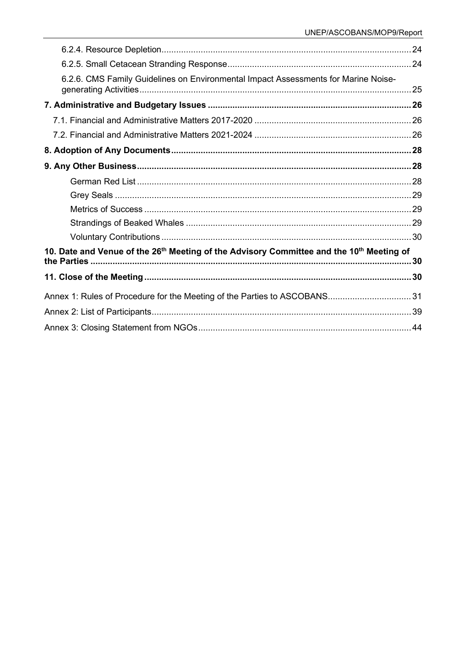| 6.2.6. CMS Family Guidelines on Environmental Impact Assessments for Marine Noise-                               |  |
|------------------------------------------------------------------------------------------------------------------|--|
|                                                                                                                  |  |
|                                                                                                                  |  |
|                                                                                                                  |  |
|                                                                                                                  |  |
|                                                                                                                  |  |
|                                                                                                                  |  |
|                                                                                                                  |  |
|                                                                                                                  |  |
|                                                                                                                  |  |
|                                                                                                                  |  |
| 10. Date and Venue of the 26 <sup>th</sup> Meeting of the Advisory Committee and the 10 <sup>th</sup> Meeting of |  |
|                                                                                                                  |  |
|                                                                                                                  |  |
|                                                                                                                  |  |
|                                                                                                                  |  |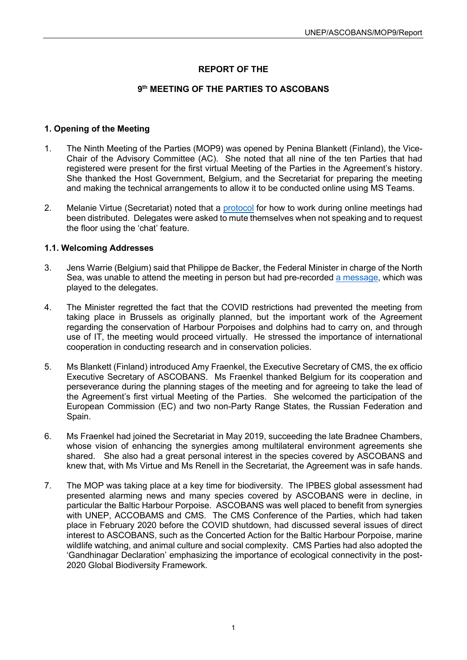# **REPORT OF THE**

## **9th MEETING OF THE PARTIES TO ASCOBANS**

## <span id="page-4-0"></span>**1. Opening of the Meeting**

- 1. The Ninth Meeting of the Parties (MOP9) was opened by Penina Blankett (Finland), the Vice-Chair of the Advisory Committee (AC). She noted that all nine of the ten Parties that had registered were present for the first virtual Meeting of the Parties in the Agreement's history. She thanked the Host Government, Belgium, and the Secretariat for preparing the meeting and making the technical arrangements to allow it to be conducted online using MS Teams.
- 2. Melanie Virtue (Secretariat) noted that a [protocol](https://www.ascobans.org/en/document/online-meeting-protocol-ascobans-mop9) for how to work during online meetings had been distributed. Delegates were asked to mute themselves when not speaking and to request the floor using the 'chat' feature.

## <span id="page-4-1"></span>**1.1. Welcoming Addresses**

- 3. Jens Warrie (Belgium) said that Philippe de Backer, the Federal Minister in charge of the North Sea, was unable to attend the meeting in person but had pre-recorded [a message,](https://www.youtube.com/watch?v=gpHNZTIQ1m8&feature=youtu.be) which was played to the delegates.
- 4. The Minister regretted the fact that the COVID restrictions had prevented the meeting from taking place in Brussels as originally planned, but the important work of the Agreement regarding the conservation of Harbour Porpoises and dolphins had to carry on, and through use of IT, the meeting would proceed virtually. He stressed the importance of international cooperation in conducting research and in conservation policies.
- 5. Ms Blankett (Finland) introduced Amy Fraenkel, the Executive Secretary of CMS, the ex officio Executive Secretary of ASCOBANS. Ms Fraenkel thanked Belgium for its cooperation and perseverance during the planning stages of the meeting and for agreeing to take the lead of the Agreement's first virtual Meeting of the Parties. She welcomed the participation of the European Commission (EC) and two non-Party Range States, the Russian Federation and Spain.
- 6. Ms Fraenkel had joined the Secretariat in May 2019, succeeding the late Bradnee Chambers, whose vision of enhancing the synergies among multilateral environment agreements she shared. She also had a great personal interest in the species covered by ASCOBANS and knew that, with Ms Virtue and Ms Renell in the Secretariat, the Agreement was in safe hands.
- 7. The MOP was taking place at a key time for biodiversity. The IPBES global assessment had presented alarming news and many species covered by ASCOBANS were in decline, in particular the Baltic Harbour Porpoise. ASCOBANS was well placed to benefit from synergies with UNEP, ACCOBAMS and CMS. The CMS Conference of the Parties, which had taken place in February 2020 before the COVID shutdown, had discussed several issues of direct interest to ASCOBANS, such as the Concerted Action for the Baltic Harbour Porpoise, marine wildlife watching, and animal culture and social complexity. CMS Parties had also adopted the 'Gandhinagar Declaration' emphasizing the importance of ecological connectivity in the post-2020 Global Biodiversity Framework.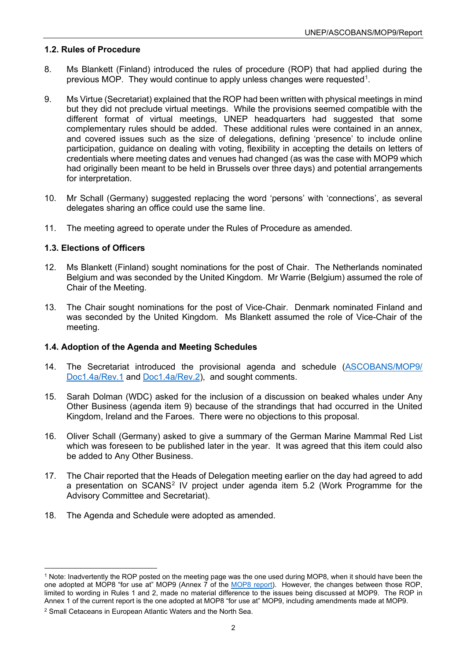# <span id="page-5-0"></span>**1.2. Rules of Procedure**

- 8. Ms Blankett (Finland) introduced the rules of procedure (ROP) that had applied during the previous MOP. They would continue to apply unless changes were requested<sup>[1](#page-5-3)</sup>.
- 9. Ms Virtue (Secretariat) explained that the ROP had been written with physical meetings in mind but they did not preclude virtual meetings. While the provisions seemed compatible with the different format of virtual meetings, UNEP headquarters had suggested that some complementary rules should be added. These additional rules were contained in an annex, and covered issues such as the size of delegations, defining 'presence' to include online participation, guidance on dealing with voting, flexibility in accepting the details on letters of credentials where meeting dates and venues had changed (as was the case with MOP9 which had originally been meant to be held in Brussels over three days) and potential arrangements for interpretation.
- 10. Mr Schall (Germany) suggested replacing the word 'persons' with 'connections', as several delegates sharing an office could use the same line.
- 11. The meeting agreed to operate under the Rules of Procedure as amended.

# <span id="page-5-1"></span>**1.3. Elections of Officers**

- 12. Ms Blankett (Finland) sought nominations for the post of Chair. The Netherlands nominated Belgium and was seconded by the United Kingdom. Mr Warrie (Belgium) assumed the role of Chair of the Meeting.
- 13. The Chair sought nominations for the post of Vice-Chair. Denmark nominated Finland and was seconded by the United Kingdom. Ms Blankett assumed the role of Vice-Chair of the meeting.

# <span id="page-5-2"></span>**1.4. Adoption of the Agenda and Meeting Schedules**

- 14. The Secretariat introduced the provisional agenda and schedule [\(ASCOBANS/MOP9/](https://www.ascobans.org/en/document/provisional-agenda-21)  [Doc1.4a/Rev.1](https://www.ascobans.org/en/document/provisional-agenda-21) and [Doc1.4a/Rev.2\)](https://www.ascobans.org/en/document/provisional-annotated-agenda-and-schedule-12), and sought comments.
- 15. Sarah Dolman (WDC) asked for the inclusion of a discussion on beaked whales under Any Other Business (agenda item 9) because of the strandings that had occurred in the United Kingdom, Ireland and the Faroes. There were no objections to this proposal.
- 16. Oliver Schall (Germany) asked to give a summary of the German Marine Mammal Red List which was foreseen to be published later in the year. It was agreed that this item could also be added to Any Other Business.
- 17. The Chair reported that the Heads of Delegation meeting earlier on the day had agreed to add a presentation on SCANS<sup>[2](#page-5-4)</sup> IV project under agenda item 5.2 (Work Programme for the Advisory Committee and Secretariat).
- 18. The Agenda and Schedule were adopted as amended.

<span id="page-5-3"></span><sup>1</sup> Note: Inadvertently the ROP posted on the meeting page was the one used during MOP8, when it should have been the one adopted at MOP8 "for use at" MOP9 (Annex 7 of the <u>MOP8 report</u>). However, the changes between those ROP, limited to wording in Rules 1 and 2, made no material difference to the issues being discussed at MOP9. The ROP in Annex 1 of the current report is the one adopted at MOP8 "for use at" MOP9, including amendments made at MOP9.

<span id="page-5-4"></span><sup>2</sup> Small Cetaceans in European Atlantic Waters and the North Sea.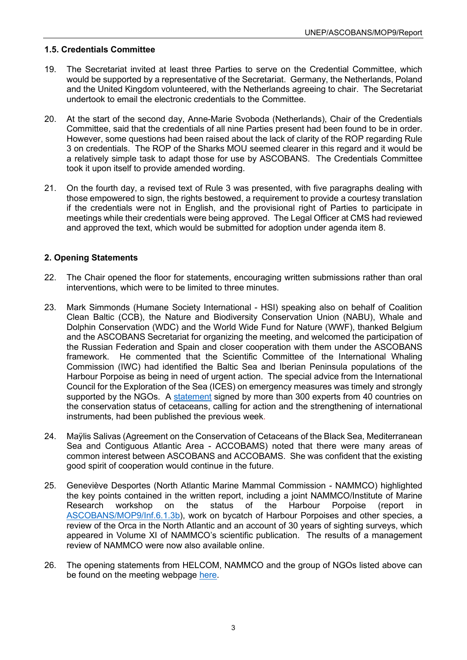## **1.5. Credentials Committee**

- 19. The Secretariat invited at least three Parties to serve on the Credential Committee, which would be supported by a representative of the Secretariat. Germany, the Netherlands, Poland and the United Kingdom volunteered, with the Netherlands agreeing to chair. The Secretariat undertook to email the electronic credentials to the Committee.
- 20. At the start of the second day, Anne-Marie Svoboda (Netherlands), Chair of the Credentials Committee, said that the credentials of all nine Parties present had been found to be in order. However, some questions had been raised about the lack of clarity of the ROP regarding Rule 3 on credentials. The ROP of the Sharks MOU seemed clearer in this regard and it would be a relatively simple task to adapt those for use by ASCOBANS. The Credentials Committee took it upon itself to provide amended wording.
- 21. On the fourth day, a revised text of Rule 3 was presented, with five paragraphs dealing with those empowered to sign, the rights bestowed, a requirement to provide a courtesy translation if the credentials were not in English, and the provisional right of Parties to participate in meetings while their credentials were being approved. The Legal Officer at CMS had reviewed and approved the text, which would be submitted for adoption under agenda item 8.

# <span id="page-6-0"></span>**2. Opening Statements**

- 22. The Chair opened the floor for statements, encouraging written submissions rather than oral interventions, which were to be limited to three minutes.
- 23. Mark Simmonds (Humane Society International HSI) speaking also on behalf of Coalition Clean Baltic (CCB), the Nature and Biodiversity Conservation Union (NABU), Whale and Dolphin Conservation (WDC) and the World Wide Fund for Nature (WWF), thanked Belgium and the ASCOBANS Secretariat for organizing the meeting, and welcomed the participation of the Russian Federation and Spain and closer cooperation with them under the ASCOBANS framework. He commented that the Scientific Committee of the International Whaling Commission (IWC) had identified the Baltic Sea and Iberian Peninsula populations of the Harbour Porpoise as being in need of urgent action. The special advice from the International Council for the Exploration of the Sea (ICES) on emergency measures was timely and strongly supported by the NGOs. A [statement](https://www.mammalresearchinstitute.science/news/2020/9/1/the-real-and-imminent-extinction-risk-to-whales-dolphins-and-porpoises) signed by more than 300 experts from 40 countries on the conservation status of cetaceans, calling for action and the strengthening of international instruments, had been published the previous week.
- 24. Maÿlis Salivas (Agreement on the Conservation of Cetaceans of the Black Sea, Mediterranean Sea and Contiguous Atlantic Area - ACCOBAMS) noted that there were many areas of common interest between ASCOBANS and ACCOBAMS. She was confident that the existing good spirit of cooperation would continue in the future.
- 25. Geneviève Desportes (North Atlantic Marine Mammal Commission NAMMCO) highlighted the key points contained in the written report, including a joint NAMMCO/Institute of Marine<br>Research workshop on the status of the Harbour Porpoise (report in Research workshop on the status of the Harbour Porpoise (report in [ASCOBANS/MOP9/Inf.6.1.3b\)](https://www.ascobans.org/en/document/report-joint-imrnammco-international-workshop-status-harbour-porpoises-north-atlantic-0), work on bycatch of Harbour Porpoises and other species, a review of the Orca in the North Atlantic and an account of 30 years of sighting surveys, which appeared in Volume XI of NAMMCO's scientific publication. The results of a management review of NAMMCO were now also available online.
- 26. The opening statements from HELCOM, NAMMCO and the group of NGOs listed above can be found on the meeting webpage [here.](https://www.ascobans.org/en/document/opening-statements-observers-1)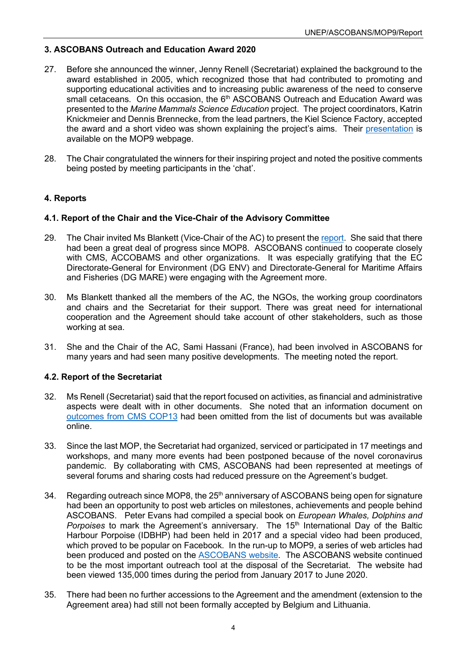# <span id="page-7-0"></span>**3. ASCOBANS Outreach and Education Award 2020**

- 27. Before she announced the winner, Jenny Renell (Secretariat) explained the background to the award established in 2005, which recognized those that had contributed to promoting and supporting educational activities and to increasing public awareness of the need to conserve small cetaceans. On this occasion, the 6<sup>th</sup> ASCOBANS Outreach and Education Award was presented to the *Marine Mammals Science Education* project. The project coordinators, Katrin Knickmeier and Dennis Brennecke, from the lead partners, the Kiel Science Factory, accepted the award and a short video was shown explaining the project's aims. Their [presentation](https://www.ascobans.org/en/document/ascobans-outreach-and-education-award-2020-marine-mammals-science-education) is available on the MOP9 webpage.
- 28. The Chair congratulated the winners for their inspiring project and noted the positive comments being posted by meeting participants in the 'chat'.

# <span id="page-7-1"></span>**4. Reports**

# <span id="page-7-2"></span>**4.1. Report of the Chair and the Vice-Chair of the Advisory Committee**

- 29. The Chair invited Ms Blankett (Vice-Chair of the AC) to present the [report.](https://www.ascobans.org/en/document/evaluation-implementation-ascobans-work-plan-2017-2020-and-work-advisory-committee) She said that there had been a great deal of progress since MOP8. ASCOBANS continued to cooperate closely with CMS, ACCOBAMS and other organizations. It was especially gratifying that the EC Directorate-General for Environment (DG ENV) and Directorate-General for Maritime Affairs and Fisheries (DG MARE) were engaging with the Agreement more.
- 30. Ms Blankett thanked all the members of the AC, the NGOs, the working group coordinators and chairs and the Secretariat for their support. There was great need for international cooperation and the Agreement should take account of other stakeholders, such as those working at sea.
- 31. She and the Chair of the AC, Sami Hassani (France), had been involved in ASCOBANS for many years and had seen many positive developments. The meeting noted the report.

## <span id="page-7-3"></span>**4.2. Report of the Secretariat**

- 32. Ms Renell (Secretariat) said that the report focused on activities, as financial and administrative aspects were dealt with in other documents. She noted that an information document on [outcomes from CMS COP13](https://www.ascobans.org/en/document/overview-cms-cop13-outcomes-relevant-ascobans-1) had been omitted from the list of documents but was available online.
- 33. Since the last MOP, the Secretariat had organized, serviced or participated in 17 meetings and workshops, and many more events had been postponed because of the novel coronavirus pandemic. By collaborating with CMS, ASCOBANS had been represented at meetings of several forums and sharing costs had reduced pressure on the Agreement's budget.
- 34. Regarding outreach since MOP8, the 25<sup>th</sup> anniversary of ASCOBANS being open for signature had been an opportunity to post web articles on milestones, achievements and people behind ASCOBANS. Peter Evans had compiled a special book on *European Whales, Dolphins and Porpoises* to mark the Agreement's anniversary. The 15<sup>th</sup> International Day of the Baltic Harbour Porpoise (IDBHP) had been held in 2017 and a special video had been produced, which proved to be popular on Facebook. In the run-up to MOP9, a series of web articles had been produced and posted on the [ASCOBANS website.](http://www.ascobans.org/) The ASCOBANS website continued to be the most important outreach tool at the disposal of the Secretariat. The website had been viewed 135,000 times during the period from January 2017 to June 2020.
- 35. There had been no further accessions to the Agreement and the amendment (extension to the Agreement area) had still not been formally accepted by Belgium and Lithuania.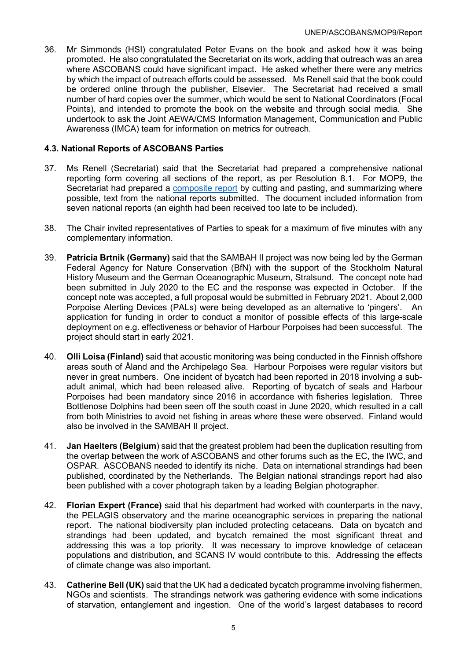36. Mr Simmonds (HSI) congratulated Peter Evans on the book and asked how it was being promoted. He also congratulated the Secretariat on its work, adding that outreach was an area where ASCOBANS could have significant impact. He asked whether there were any metrics by which the impact of outreach efforts could be assessed. Ms Renell said that the book could be ordered online through the publisher, Elsevier. The Secretariat had received a small number of hard copies over the summer, which would be sent to National Coordinators (Focal Points), and intended to promote the book on the website and through social media. She undertook to ask the Joint AEWA/CMS Information Management, Communication and Public Awareness (IMCA) team for information on metrics for outreach.

# <span id="page-8-0"></span>**4.3. National Reports of ASCOBANS Parties**

- 37. Ms Renell (Secretariat) said that the Secretariat had prepared a comprehensive national reporting form covering all sections of the report, as per Resolution 8.1. For MOP9, the Secretariat had prepared a [composite report](https://www.ascobans.org/en/document/summary-compilation-national-reports-2016-2019-submitted-ascobans-parties) by cutting and pasting, and summarizing where possible, text from the national reports submitted. The document included information from seven national reports (an eighth had been received too late to be included).
- 38. The Chair invited representatives of Parties to speak for a maximum of five minutes with any complementary information.
- 39. **Patricia Brtnik (Germany)** said that the SAMBAH II project was now being led by the German Federal Agency for Nature Conservation (BfN) with the support of the Stockholm Natural History Museum and the German Oceanographic Museum, Stralsund. The concept note had been submitted in July 2020 to the EC and the response was expected in October. If the concept note was accepted, a full proposal would be submitted in February 2021. About 2,000 Porpoise Alerting Devices (PALs) were being developed as an alternative to 'pingers'. An application for funding in order to conduct a monitor of possible effects of this large-scale deployment on e.g. effectiveness or behavior of Harbour Porpoises had been successful. The project should start in early 2021.
- 40. **Olli Loisa (Finland)** said that acoustic monitoring was being conducted in the Finnish offshore areas south of Åland and the Archipelago Sea. Harbour Porpoises were regular visitors but never in great numbers. One incident of bycatch had been reported in 2018 involving a subadult animal, which had been released alive. Reporting of bycatch of seals and Harbour Porpoises had been mandatory since 2016 in accordance with fisheries legislation. Three Bottlenose Dolphins had been seen off the south coast in June 2020, which resulted in a call from both Ministries to avoid net fishing in areas where these were observed. Finland would also be involved in the SAMBAH II project.
- 41. **Jan Haelters (Belgium**) said that the greatest problem had been the duplication resulting from the overlap between the work of ASCOBANS and other forums such as the EC, the IWC, and OSPAR. ASCOBANS needed to identify its niche. Data on international strandings had been published, coordinated by the Netherlands. The Belgian national strandings report had also been published with a cover photograph taken by a leading Belgian photographer.
- 42. **Florian Expert (France)** said that his department had worked with counterparts in the navy, the PELAGIS observatory and the marine oceanographic services in preparing the national report. The national biodiversity plan included protecting cetaceans. Data on bycatch and strandings had been updated, and bycatch remained the most significant threat and addressing this was a top priority. It was necessary to improve knowledge of cetacean populations and distribution, and SCANS IV would contribute to this. Addressing the effects of climate change was also important.
- 43. **Catherine Bell (UK)** said that the UK had a dedicated bycatch programme involving fishermen, NGOs and scientists. The strandings network was gathering evidence with some indications of starvation, entanglement and ingestion. One of the world's largest databases to record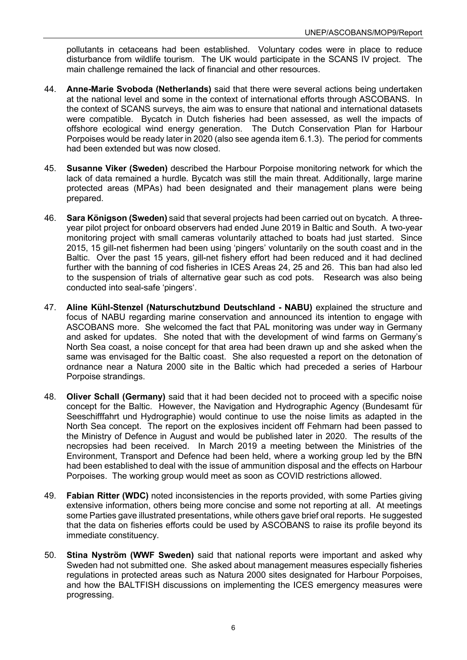pollutants in cetaceans had been established. Voluntary codes were in place to reduce disturbance from wildlife tourism. The UK would participate in the SCANS IV project. The main challenge remained the lack of financial and other resources.

- 44. **Anne-Marie Svoboda (Netherlands)** said that there were several actions being undertaken at the national level and some in the context of international efforts through ASCOBANS. In the context of SCANS surveys, the aim was to ensure that national and international datasets were compatible. Bycatch in Dutch fisheries had been assessed, as well the impacts of offshore ecological wind energy generation. The Dutch Conservation Plan for Harbour Porpoises would be ready later in 2020 (also see agenda item 6.1.3). The period for comments had been extended but was now closed.
- 45. **Susanne Viker (Sweden)** described the Harbour Porpoise monitoring network for which the lack of data remained a hurdle. Bycatch was still the main threat. Additionally, large marine protected areas (MPAs) had been designated and their management plans were being prepared.
- 46. **Sara Königson (Sweden)** said that several projects had been carried out on bycatch. A threeyear pilot project for onboard observers had ended June 2019 in Baltic and South. A two-year monitoring project with small cameras voluntarily attached to boats had just started. Since 2015, 15 gill-net fishermen had been using 'pingers' voluntarily on the south coast and in the Baltic. Over the past 15 years, gill-net fishery effort had been reduced and it had declined further with the banning of cod fisheries in ICES Areas 24, 25 and 26. This ban had also led to the suspension of trials of alternative gear such as cod pots. Research was also being conducted into seal-safe 'pingers'.
- 47. **Aline Kühl-Stenzel (Naturschutzbund Deutschland - NABU)** explained the structure and focus of NABU regarding marine conservation and announced its intention to engage with ASCOBANS more. She welcomed the fact that PAL monitoring was under way in Germany and asked for updates. She noted that with the development of wind farms on Germany's North Sea coast, a noise concept for that area had been drawn up and she asked when the same was envisaged for the Baltic coast. She also requested a report on the detonation of ordnance near a Natura 2000 site in the Baltic which had preceded a series of Harbour Porpoise strandings.
- 48. **Oliver Schall (Germany)** said that it had been decided not to proceed with a specific noise concept for the Baltic. However, the Navigation and Hydrographic Agency (Bundesamt für Seeschifffahrt und Hydrographie) would continue to use the noise limits as adapted in the North Sea concept. The report on the explosives incident off Fehmarn had been passed to the Ministry of Defence in August and would be published later in 2020. The results of the necropsies had been received. In March 2019 a meeting between the Ministries of the Environment, Transport and Defence had been held, where a working group led by the BfN had been established to deal with the issue of ammunition disposal and the effects on Harbour Porpoises. The working group would meet as soon as COVID restrictions allowed.
- 49. **Fabian Ritter (WDC)** noted inconsistencies in the reports provided, with some Parties giving extensive information, others being more concise and some not reporting at all. At meetings some Parties gave illustrated presentations, while others gave brief oral reports. He suggested that the data on fisheries efforts could be used by ASCOBANS to raise its profile beyond its immediate constituency.
- 50. **Stina Nyström (WWF Sweden)** said that national reports were important and asked why Sweden had not submitted one. She asked about management measures especially fisheries regulations in protected areas such as Natura 2000 sites designated for Harbour Porpoises, and how the BALTFISH discussions on implementing the ICES emergency measures were progressing.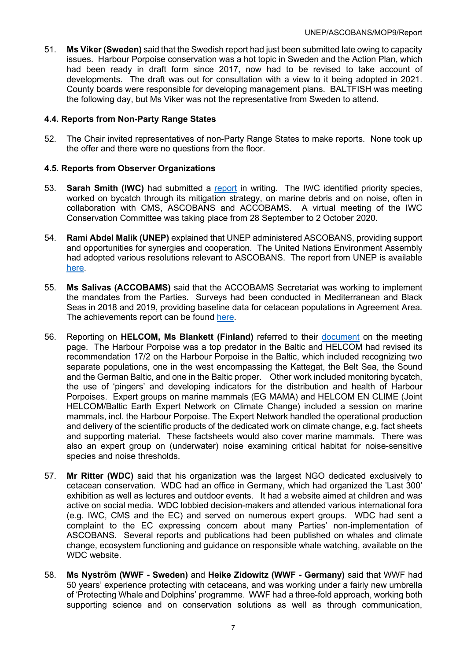51. **Ms Viker (Sweden)** said that the Swedish report had just been submitted late owing to capacity issues. Harbour Porpoise conservation was a hot topic in Sweden and the Action Plan, which had been ready in draft form since 2017, now had to be revised to take account of developments. The draft was out for consultation with a view to it being adopted in 2021. County boards were responsible for developing management plans. BALTFISH was meeting the following day, but Ms Viker was not the representative from Sweden to attend.

# <span id="page-10-0"></span>**4.4. Reports from Non-Party Range States**

52. The Chair invited representatives of non-Party Range States to make reports. None took up the offer and there were no questions from the floor.

# <span id="page-10-1"></span>**4.5. Reports from Observer Organizations**

- 53. **Sarah Smith (IWC)** had submitted a [report](https://www.ascobans.org/en/document/reports-observer-organizations-iwc) in writing. The IWC identified priority species, worked on bycatch through its mitigation strategy, on marine debris and on noise, often in collaboration with CMS, ASCOBANS and ACCOBAMS. A virtual meeting of the IWC Conservation Committee was taking place from 28 September to 2 October 2020.
- 54. **Rami Abdel Malik (UNEP)** explained that UNEP administered ASCOBANS, providing support and opportunities for synergies and cooperation. The United Nations Environment Assembly had adopted various resolutions relevant to ASCOBANS. The report from UNEP is available [here.](https://www.ascobans.org/en/document/reports-observer-organizations-unep-0)
- 55. **Ms Salivas (ACCOBAMS)** said that the ACCOBAMS Secretariat was working to implement the mandates from the Parties. Surveys had been conducted in Mediterranean and Black Seas in 2018 and 2019, providing baseline data for cetacean populations in Agreement Area. The achievements report can be found [here.](https://www.ascobans.org/en/document/reports-observer-organizations-accobams-0)
- 56. Reporting on **HELCOM, Ms Blankett (Finland)** referred to their [document](https://www.ascobans.org/en/document/reports-observer-organizations-helcom) on the meeting page. The Harbour Porpoise was a top predator in the Baltic and HELCOM had revised its recommendation 17/2 on the Harbour Porpoise in the Baltic, which included recognizing two separate populations, one in the west encompassing the Kattegat, the Belt Sea, the Sound and the German Baltic, and one in the Baltic proper. Other work included monitoring bycatch, the use of 'pingers' and developing indicators for the distribution and health of Harbour Porpoises. Expert groups on marine mammals (EG MAMA) and HELCOM EN CLIME (Joint HELCOM/Baltic Earth Expert Network on Climate Change) included a session on marine mammals, incl. the Harbour Porpoise. The Expert Network handled the operational production and delivery of the scientific products of the dedicated work on climate change, e.g. fact sheets and supporting material. These factsheets would also cover marine mammals. There was also an expert group on (underwater) noise examining critical habitat for noise-sensitive species and noise thresholds.
- 57. **Mr Ritter (WDC)** said that his organization was the largest NGO dedicated exclusively to cetacean conservation. WDC had an office in Germany, which had organized the 'Last 300' exhibition as well as lectures and outdoor events. It had a website aimed at children and was active on social media. WDC lobbied decision-makers and attended various international fora (e.g. IWC, CMS and the EC) and served on numerous expert groups. WDC had sent a complaint to the EC expressing concern about many Parties' non-implementation of ASCOBANS. Several reports and publications had been published on whales and climate change, ecosystem functioning and guidance on responsible whale watching, available on the WDC website.
- 58. **Ms Nyström (WWF - Sweden)** and **Heike Zidowitz (WWF - Germany)** said that WWF had 50 years' experience protecting with cetaceans, and was working under a fairly new umbrella of 'Protecting Whale and Dolphins' programme. WWF had a three-fold approach, working both supporting science and on conservation solutions as well as through communication,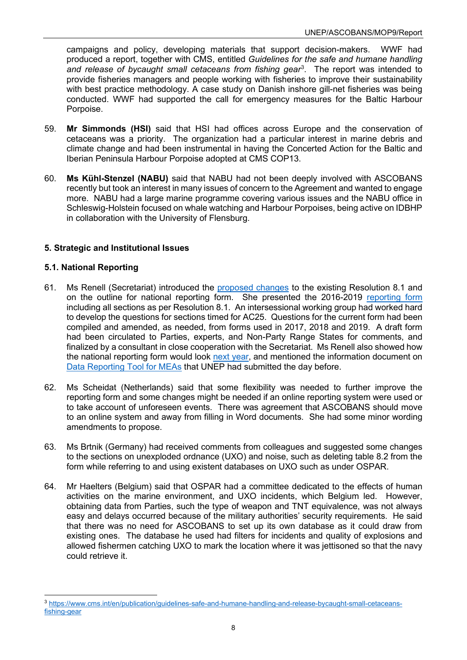campaigns and policy, developing materials that support decision-makers. WWF had produced a report, together with CMS, entitled *Guidelines for the safe and humane handling and release of bycaught small cetaceans from fishing gear*[3](#page-11-2) . The report was intended to provide fisheries managers and people working with fisheries to improve their sustainability with best practice methodology. A case study on Danish inshore gill-net fisheries was being conducted. WWF had supported the call for emergency measures for the Baltic Harbour Porpoise.

- 59. **Mr Simmonds (HSI)** said that HSI had offices across Europe and the conservation of cetaceans was a priority. The organization had a particular interest in marine debris and climate change and had been instrumental in having the Concerted Action for the Baltic and Iberian Peninsula Harbour Porpoise adopted at CMS COP13.
- 60. **Ms Kühl-Stenzel (NABU)** said that NABU had not been deeply involved with ASCOBANS recently but took an interest in many issues of concern to the Agreement and wanted to engage more. NABU had a large marine programme covering various issues and the NABU office in Schleswig-Holstein focused on whale watching and Harbour Porpoises, being active on IDBHP in collaboration with the University of Flensburg.

# <span id="page-11-0"></span>**5. Strategic and Institutional Issues**

# <span id="page-11-1"></span>**5.1. National Reporting**

- 61. Ms Renell (Secretariat) introduced the [proposed changes](https://www.ascobans.org/en/document/proposed-amendments-resolution-81-national-reporting) to the existing Resolution 8.1 and on the outline for national reporting form. She presented the 2016-2019 [reporting form](https://www.ascobans.org/en/document/ascobans-national-reporting-form-2016-2019) including all sections as per Resolution 8.1. An intersessional working group had worked hard to develop the questions for sections timed for AC25. Questions for the current form had been compiled and amended, as needed, from forms used in 2017, 2018 and 2019. A draft form had been circulated to Parties, experts, and Non-Party Range States for comments, and finalized by a consultant in close cooperation with the Secretariat. Ms Renell also showed how the national reporting form would look [next year,](https://www.ascobans.org/en/document/ascobans-national-reporting-form-2020) and mentioned the information document on [Data Reporting Tool for MEAs](https://www.ascobans.org/en/document/data-reporting-tool-meas-dart) that UNEP had submitted the day before.
- 62. Ms Scheidat (Netherlands) said that some flexibility was needed to further improve the reporting form and some changes might be needed if an online reporting system were used or to take account of unforeseen events. There was agreement that ASCOBANS should move to an online system and away from filling in Word documents. She had some minor wording amendments to propose.
- 63. Ms Brtnik (Germany) had received comments from colleagues and suggested some changes to the sections on unexploded ordnance (UXO) and noise, such as deleting table 8.2 from the form while referring to and using existent databases on UXO such as under OSPAR.
- 64. Mr Haelters (Belgium) said that OSPAR had a committee dedicated to the effects of human activities on the marine environment, and UXO incidents, which Belgium led. However, obtaining data from Parties, such the type of weapon and TNT equivalence, was not always easy and delays occurred because of the military authorities' security requirements. He said that there was no need for ASCOBANS to set up its own database as it could draw from existing ones. The database he used had filters for incidents and quality of explosions and allowed fishermen catching UXO to mark the location where it was jettisoned so that the navy could retrieve it.

<span id="page-11-2"></span><sup>3</sup> [https://www.cms.int/en/publication/guidelines-safe-and-humane-handling-and-release-bycaught-small-cetaceans](https://www.cms.int/en/publication/guidelines-safe-and-humane-handling-and-release-bycaught-small-cetaceans-fishing-gear)[fishing-gear](https://www.cms.int/en/publication/guidelines-safe-and-humane-handling-and-release-bycaught-small-cetaceans-fishing-gear)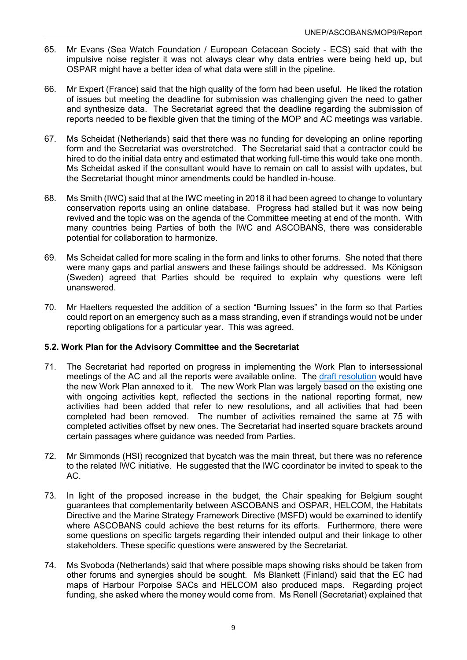- 65. Mr Evans (Sea Watch Foundation / European Cetacean Society ECS) said that with the impulsive noise register it was not always clear why data entries were being held up, but OSPAR might have a better idea of what data were still in the pipeline.
- 66. Mr Expert (France) said that the high quality of the form had been useful. He liked the rotation of issues but meeting the deadline for submission was challenging given the need to gather and synthesize data. The Secretariat agreed that the deadline regarding the submission of reports needed to be flexible given that the timing of the MOP and AC meetings was variable.
- 67. Ms Scheidat (Netherlands) said that there was no funding for developing an online reporting form and the Secretariat was overstretched. The Secretariat said that a contractor could be hired to do the initial data entry and estimated that working full-time this would take one month. Ms Scheidat asked if the consultant would have to remain on call to assist with updates, but the Secretariat thought minor amendments could be handled in-house.
- 68. Ms Smith (IWC) said that at the IWC meeting in 2018 it had been agreed to change to voluntary conservation reports using an online database. Progress had stalled but it was now being revived and the topic was on the agenda of the Committee meeting at end of the month. With many countries being Parties of both the IWC and ASCOBANS, there was considerable potential for collaboration to harmonize.
- 69. Ms Scheidat called for more scaling in the form and links to other forums. She noted that there were many gaps and partial answers and these failings should be addressed. Ms Königson (Sweden) agreed that Parties should be required to explain why questions were left unanswered.
- 70. Mr Haelters requested the addition of a section "Burning Issues" in the form so that Parties could report on an emergency such as a mass stranding, even if strandings would not be under reporting obligations for a particular year. This was agreed.

# <span id="page-12-0"></span>**5.2. Work Plan for the Advisory Committee and the Secretariat**

- 71. The Secretariat had reported on progress in implementing the Work Plan to intersessional meetings of the AC and all the reports were available online. The [draft resolution](https://www.ascobans.org/en/document/draft-resolution-work-plan-ascobans-advisory-committee-and-secretariat-2021-2024) would have the new Work Plan annexed to it. The new Work Plan was largely based on the existing one with ongoing activities kept, reflected the sections in the national reporting format, new activities had been added that refer to new resolutions, and all activities that had been completed had been removed. The number of activities remained the same at 75 with completed activities offset by new ones. The Secretariat had inserted square brackets around certain passages where guidance was needed from Parties.
- 72. Mr Simmonds (HSI) recognized that bycatch was the main threat, but there was no reference to the related IWC initiative. He suggested that the IWC coordinator be invited to speak to the AC.
- 73. In light of the proposed increase in the budget, the Chair speaking for Belgium sought guarantees that complementarity between ASCOBANS and OSPAR, HELCOM, the Habitats Directive and the Marine Strategy Framework Directive (MSFD) would be examined to identify where ASCOBANS could achieve the best returns for its efforts. Furthermore, there were some questions on specific targets regarding their intended output and their linkage to other stakeholders. These specific questions were answered by the Secretariat.
- 74. Ms Svoboda (Netherlands) said that where possible maps showing risks should be taken from other forums and synergies should be sought. Ms Blankett (Finland) said that the EC had maps of Harbour Porpoise SACs and HELCOM also produced maps. Regarding project funding, she asked where the money would come from. Ms Renell (Secretariat) explained that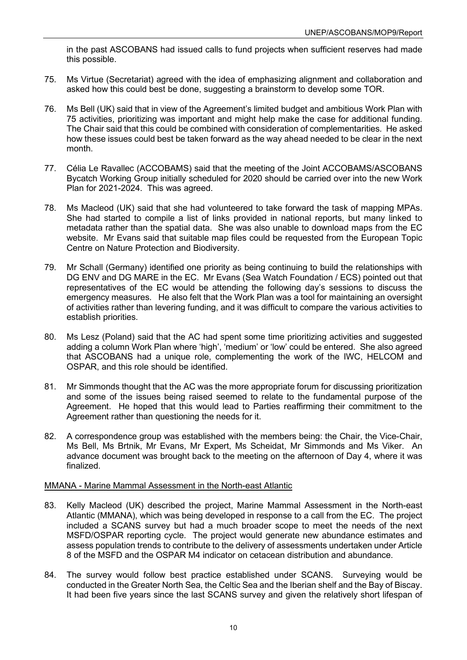in the past ASCOBANS had issued calls to fund projects when sufficient reserves had made this possible.

- 75. Ms Virtue (Secretariat) agreed with the idea of emphasizing alignment and collaboration and asked how this could best be done, suggesting a brainstorm to develop some TOR.
- 76. Ms Bell (UK) said that in view of the Agreement's limited budget and ambitious Work Plan with 75 activities, prioritizing was important and might help make the case for additional funding. The Chair said that this could be combined with consideration of complementarities. He asked how these issues could best be taken forward as the way ahead needed to be clear in the next month.
- 77. Célia Le Ravallec (ACCOBAMS) said that the meeting of the Joint ACCOBAMS/ASCOBANS Bycatch Working Group initially scheduled for 2020 should be carried over into the new Work Plan for 2021-2024. This was agreed.
- 78. Ms Macleod (UK) said that she had volunteered to take forward the task of mapping MPAs. She had started to compile a list of links provided in national reports, but many linked to metadata rather than the spatial data. She was also unable to download maps from the EC website. Mr Evans said that suitable map files could be requested from the European Topic Centre on Nature Protection and Biodiversity.
- 79. Mr Schall (Germany) identified one priority as being continuing to build the relationships with DG ENV and DG MARE in the EC. Mr Evans (Sea Watch Foundation / ECS) pointed out that representatives of the EC would be attending the following day's sessions to discuss the emergency measures. He also felt that the Work Plan was a tool for maintaining an oversight of activities rather than levering funding, and it was difficult to compare the various activities to establish priorities.
- 80. Ms Lesz (Poland) said that the AC had spent some time prioritizing activities and suggested adding a column Work Plan where 'high', 'medium' or 'low' could be entered. She also agreed that ASCOBANS had a unique role, complementing the work of the IWC, HELCOM and OSPAR, and this role should be identified.
- 81. Mr Simmonds thought that the AC was the more appropriate forum for discussing prioritization and some of the issues being raised seemed to relate to the fundamental purpose of the Agreement. He hoped that this would lead to Parties reaffirming their commitment to the Agreement rather than questioning the needs for it.
- 82. A correspondence group was established with the members being: the Chair, the Vice-Chair, Ms Bell, Ms Brtnik, Mr Evans, Mr Expert, Ms Scheidat, Mr Simmonds and Ms Viker. An advance document was brought back to the meeting on the afternoon of Day 4, where it was finalized.

## <span id="page-13-0"></span>MMANA - Marine Mammal Assessment in the North-east Atlantic

- 83. Kelly Macleod (UK) described the project, Marine Mammal Assessment in the North-east Atlantic (MMANA), which was being developed in response to a call from the EC. The project included a SCANS survey but had a much broader scope to meet the needs of the next MSFD/OSPAR reporting cycle. The project would generate new abundance estimates and assess population trends to contribute to the delivery of assessments undertaken under Article 8 of the MSFD and the OSPAR M4 indicator on cetacean distribution and abundance.
- 84. The survey would follow best practice established under SCANS. Surveying would be conducted in the Greater North Sea, the Celtic Sea and the Iberian shelf and the Bay of Biscay. It had been five years since the last SCANS survey and given the relatively short lifespan of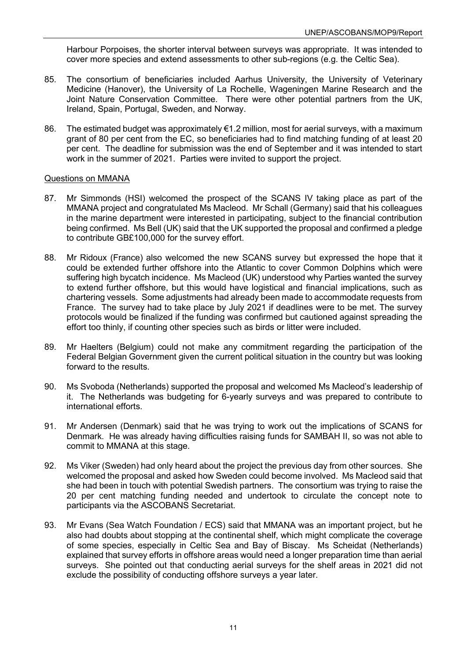Harbour Porpoises, the shorter interval between surveys was appropriate. It was intended to cover more species and extend assessments to other sub-regions (e.g. the Celtic Sea).

- 85. The consortium of beneficiaries included Aarhus University, the University of Veterinary Medicine (Hanover), the University of La Rochelle, Wageningen Marine Research and the Joint Nature Conservation Committee. There were other potential partners from the UK, Ireland, Spain, Portugal, Sweden, and Norway.
- 86. The estimated budget was approximately €1.2 million, most for aerial surveys, with a maximum grant of 80 per cent from the EC, so beneficiaries had to find matching funding of at least 20 per cent. The deadline for submission was the end of September and it was intended to start work in the summer of 2021. Parties were invited to support the project.

#### <span id="page-14-0"></span>Questions on MMANA

- 87. Mr Simmonds (HSI) welcomed the prospect of the SCANS IV taking place as part of the MMANA project and congratulated Ms Macleod. Mr Schall (Germany) said that his colleagues in the marine department were interested in participating, subject to the financial contribution being confirmed. Ms Bell (UK) said that the UK supported the proposal and confirmed a pledge to contribute GB£100,000 for the survey effort.
- 88. Mr Ridoux (France) also welcomed the new SCANS survey but expressed the hope that it could be extended further offshore into the Atlantic to cover Common Dolphins which were suffering high bycatch incidence. Ms Macleod (UK) understood why Parties wanted the survey to extend further offshore, but this would have logistical and financial implications, such as chartering vessels. Some adjustments had already been made to accommodate requests from France. The survey had to take place by July 2021 if deadlines were to be met. The survey protocols would be finalized if the funding was confirmed but cautioned against spreading the effort too thinly, if counting other species such as birds or litter were included.
- 89. Mr Haelters (Belgium) could not make any commitment regarding the participation of the Federal Belgian Government given the current political situation in the country but was looking forward to the results.
- 90. Ms Svoboda (Netherlands) supported the proposal and welcomed Ms Macleod's leadership of it. The Netherlands was budgeting for 6-yearly surveys and was prepared to contribute to international efforts.
- 91. Mr Andersen (Denmark) said that he was trying to work out the implications of SCANS for Denmark. He was already having difficulties raising funds for SAMBAH II, so was not able to commit to MMANA at this stage.
- 92. Ms Viker (Sweden) had only heard about the project the previous day from other sources. She welcomed the proposal and asked how Sweden could become involved. Ms Macleod said that she had been in touch with potential Swedish partners. The consortium was trying to raise the 20 per cent matching funding needed and undertook to circulate the concept note to participants via the ASCOBANS Secretariat.
- 93. Mr Evans (Sea Watch Foundation / ECS) said that MMANA was an important project, but he also had doubts about stopping at the continental shelf, which might complicate the coverage of some species, especially in Celtic Sea and Bay of Biscay. Ms Scheidat (Netherlands) explained that survey efforts in offshore areas would need a longer preparation time than aerial surveys. She pointed out that conducting aerial surveys for the shelf areas in 2021 did not exclude the possibility of conducting offshore surveys a year later.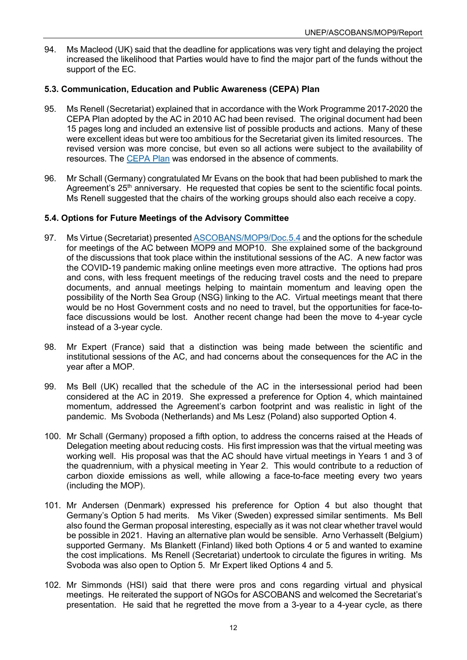94. Ms Macleod (UK) said that the deadline for applications was very tight and delaying the project increased the likelihood that Parties would have to find the major part of the funds without the support of the EC.

# <span id="page-15-0"></span>**5.3. Communication, Education and Public Awareness (CEPA) Plan**

- 95. Ms Renell (Secretariat) explained that in accordance with the Work Programme 2017-2020 the CEPA Plan adopted by the AC in 2010 AC had been revised. The original document had been 15 pages long and included an extensive list of possible products and actions. Many of these were excellent ideas but were too ambitious for the Secretariat given its limited resources. The revised version was more concise, but even so all actions were subject to the availability of resources. The [CEPA Plan](https://www.ascobans.org/en/document/ascobans-communication-education-and-public-awareness-cepa-plan) was endorsed in the absence of comments.
- 96. Mr Schall (Germany) congratulated Mr Evans on the book that had been published to mark the Agreement's  $25<sup>th</sup>$  anniversary. He requested that copies be sent to the scientific focal points. Ms Renell suggested that the chairs of the working groups should also each receive a copy.

# <span id="page-15-1"></span>**5.4. Options for Future Meetings of the Advisory Committee**

- 97. Ms Virtue (Secretariat) presented [ASCOBANS/MOP9/Doc.5.4](https://www.ascobans.org/en/document/options-future-meetings-advisory-committee-0) and the options for the schedule for meetings of the AC between MOP9 and MOP10. She explained some of the background of the discussions that took place within the institutional sessions of the AC. A new factor was the COVID-19 pandemic making online meetings even more attractive. The options had pros and cons, with less frequent meetings of the reducing travel costs and the need to prepare documents, and annual meetings helping to maintain momentum and leaving open the possibility of the North Sea Group (NSG) linking to the AC. Virtual meetings meant that there would be no Host Government costs and no need to travel, but the opportunities for face-toface discussions would be lost. Another recent change had been the move to 4-year cycle instead of a 3-year cycle.
- 98. Mr Expert (France) said that a distinction was being made between the scientific and institutional sessions of the AC, and had concerns about the consequences for the AC in the year after a MOP.
- 99. Ms Bell (UK) recalled that the schedule of the AC in the intersessional period had been considered at the AC in 2019. She expressed a preference for Option 4, which maintained momentum, addressed the Agreement's carbon footprint and was realistic in light of the pandemic. Ms Svoboda (Netherlands) and Ms Lesz (Poland) also supported Option 4.
- 100. Mr Schall (Germany) proposed a fifth option, to address the concerns raised at the Heads of Delegation meeting about reducing costs. His first impression was that the virtual meeting was working well. His proposal was that the AC should have virtual meetings in Years 1 and 3 of the quadrennium, with a physical meeting in Year 2. This would contribute to a reduction of carbon dioxide emissions as well, while allowing a face-to-face meeting every two years (including the MOP).
- 101. Mr Andersen (Denmark) expressed his preference for Option 4 but also thought that Germany's Option 5 had merits. Ms Viker (Sweden) expressed similar sentiments. Ms Bell also found the German proposal interesting, especially as it was not clear whether travel would be possible in 2021. Having an alternative plan would be sensible. Arno Verhasselt (Belgium) supported Germany. Ms Blankett (Finland) liked both Options 4 or 5 and wanted to examine the cost implications. Ms Renell (Secretariat) undertook to circulate the figures in writing. Ms Svoboda was also open to Option 5. Mr Expert liked Options 4 and 5.
- 102. Mr Simmonds (HSI) said that there were pros and cons regarding virtual and physical meetings. He reiterated the support of NGOs for ASCOBANS and welcomed the Secretariat's presentation. He said that he regretted the move from a 3-year to a 4-year cycle, as there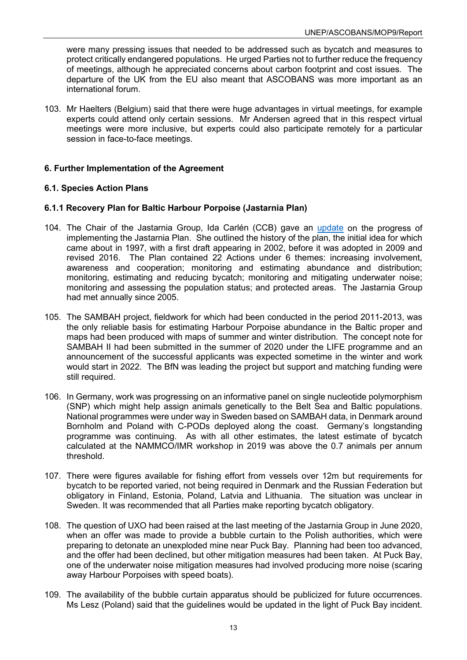were many pressing issues that needed to be addressed such as bycatch and measures to protect critically endangered populations. He urged Parties not to further reduce the frequency of meetings, although he appreciated concerns about carbon footprint and cost issues. The departure of the UK from the EU also meant that ASCOBANS was more important as an international forum.

103. Mr Haelters (Belgium) said that there were huge advantages in virtual meetings, for example experts could attend only certain sessions. Mr Andersen agreed that in this respect virtual meetings were more inclusive, but experts could also participate remotely for a particular session in face-to-face meetings.

## <span id="page-16-0"></span>**6. Further Implementation of the Agreement**

## <span id="page-16-1"></span>**6.1. Species Action Plans**

## <span id="page-16-2"></span>**6.1.1 Recovery Plan for Baltic Harbour Porpoise (Jastarnia Plan)**

- 104. The Chair of the Jastarnia Group, Ida Carlén (CCB) gave an [update](https://www.ascobans.org/en/document/jastarnia-plan-2020-recovery-plan-baltic-harbour-porpoises) on the progress of implementing the Jastarnia Plan. She outlined the history of the plan, the initial idea for which came about in 1997, with a first draft appearing in 2002, before it was adopted in 2009 and revised 2016. The Plan contained 22 Actions under 6 themes: increasing involvement, awareness and cooperation; monitoring and estimating abundance and distribution; monitoring, estimating and reducing bycatch; monitoring and mitigating underwater noise; monitoring and assessing the population status; and protected areas. The Jastarnia Group had met annually since 2005.
- 105. The SAMBAH project, fieldwork for which had been conducted in the period 2011-2013, was the only reliable basis for estimating Harbour Porpoise abundance in the Baltic proper and maps had been produced with maps of summer and winter distribution. The concept note for SAMBAH II had been submitted in the summer of 2020 under the LIFE programme and an announcement of the successful applicants was expected sometime in the winter and work would start in 2022. The BfN was leading the project but support and matching funding were still required.
- 106. In Germany, work was progressing on an informative panel on single nucleotide polymorphism (SNP) which might help assign animals genetically to the Belt Sea and Baltic populations. National programmes were under way in Sweden based on SAMBAH data, in Denmark around Bornholm and Poland with C-PODs deployed along the coast. Germany's longstanding programme was continuing. As with all other estimates, the latest estimate of bycatch calculated at the NAMMCO/IMR workshop in 2019 was above the 0.7 animals per annum threshold.
- 107. There were figures available for fishing effort from vessels over 12m but requirements for bycatch to be reported varied, not being required in Denmark and the Russian Federation but obligatory in Finland, Estonia, Poland, Latvia and Lithuania. The situation was unclear in Sweden. It was recommended that all Parties make reporting bycatch obligatory.
- 108. The question of UXO had been raised at the last meeting of the Jastarnia Group in June 2020, when an offer was made to provide a bubble curtain to the Polish authorities, which were preparing to detonate an unexploded mine near Puck Bay. Planning had been too advanced, and the offer had been declined, but other mitigation measures had been taken. At Puck Bay, one of the underwater noise mitigation measures had involved producing more noise (scaring away Harbour Porpoises with speed boats).
- 109. The availability of the bubble curtain apparatus should be publicized for future occurrences. Ms Lesz (Poland) said that the guidelines would be updated in the light of Puck Bay incident.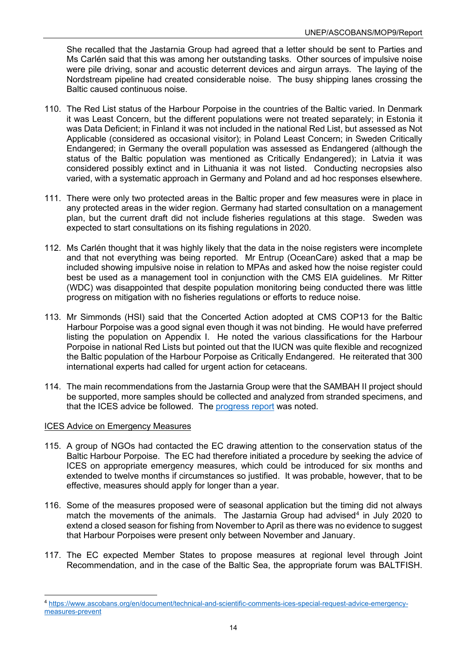She recalled that the Jastarnia Group had agreed that a letter should be sent to Parties and Ms Carlén said that this was among her outstanding tasks. Other sources of impulsive noise were pile driving, sonar and acoustic deterrent devices and airgun arrays. The laying of the Nordstream pipeline had created considerable noise. The busy shipping lanes crossing the Baltic caused continuous noise.

- 110. The Red List status of the Harbour Porpoise in the countries of the Baltic varied. In Denmark it was Least Concern, but the different populations were not treated separately; in Estonia it was Data Deficient; in Finland it was not included in the national Red List, but assessed as Not Applicable (considered as occasional visitor); in Poland Least Concern; in Sweden Critically Endangered; in Germany the overall population was assessed as Endangered (although the status of the Baltic population was mentioned as Critically Endangered); in Latvia it was considered possibly extinct and in Lithuania it was not listed. Conducting necropsies also varied, with a systematic approach in Germany and Poland and ad hoc responses elsewhere.
- 111. There were only two protected areas in the Baltic proper and few measures were in place in any protected areas in the wider region. Germany had started consultation on a management plan, but the current draft did not include fisheries regulations at this stage. Sweden was expected to start consultations on its fishing regulations in 2020.
- 112. Ms Carlén thought that it was highly likely that the data in the noise registers were incomplete and that not everything was being reported. Mr Entrup (OceanCare) asked that a map be included showing impulsive noise in relation to MPAs and asked how the noise register could best be used as a management tool in conjunction with the CMS EIA guidelines. Mr Ritter (WDC) was disappointed that despite population monitoring being conducted there was little progress on mitigation with no fisheries regulations or efforts to reduce noise.
- 113. Mr Simmonds (HSI) said that the Concerted Action adopted at CMS COP13 for the Baltic Harbour Porpoise was a good signal even though it was not binding. He would have preferred listing the population on Appendix I. He noted the various classifications for the Harbour Porpoise in national Red Lists but pointed out that the IUCN was quite flexible and recognized the Baltic population of the Harbour Porpoise as Critically Endangered. He reiterated that 300 international experts had called for urgent action for cetaceans.
- 114. The main recommendations from the Jastarnia Group were that the SAMBAH II project should be supported, more samples should be collected and analyzed from stranded specimens, and that the ICES advice be followed. The [progress report](https://www.ascobans.org/en/document/progress-report-jastarnia-plan-2020) was noted.

## <span id="page-17-0"></span>ICES Advice on Emergency Measures

- 115. A group of NGOs had contacted the EC drawing attention to the conservation status of the Baltic Harbour Porpoise. The EC had therefore initiated a procedure by seeking the advice of ICES on appropriate emergency measures, which could be introduced for six months and extended to twelve months if circumstances so justified. It was probable, however, that to be effective, measures should apply for longer than a year.
- 116. Some of the measures proposed were of seasonal application but the timing did not always match the movements of the animals. The Jastarnia Group had advised<sup>[4](#page-17-1)</sup> in July 2020 to extend a closed season for fishing from November to April as there was no evidence to suggest that Harbour Porpoises were present only between November and January.
- 117. The EC expected Member States to propose measures at regional level through Joint Recommendation, and in the case of the Baltic Sea, the appropriate forum was BALTFISH.

<span id="page-17-1"></span><sup>4</sup> [https://www.ascobans.org/en/document/technical-and-scientific-comments-ices-special-request-advice-emergency](https://www.ascobans.org/en/document/technical-and-scientific-comments-ices-special-request-advice-emergency-measures-prevent)[measures-prevent](https://www.ascobans.org/en/document/technical-and-scientific-comments-ices-special-request-advice-emergency-measures-prevent)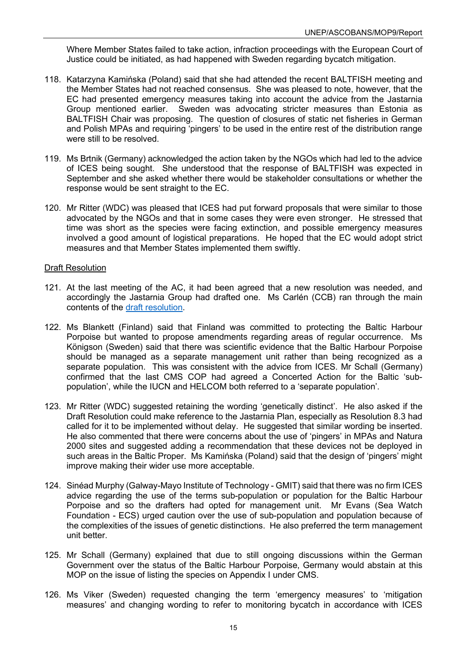Where Member States failed to take action, infraction proceedings with the European Court of Justice could be initiated, as had happened with Sweden regarding bycatch mitigation.

- 118. Katarzyna Kamińska (Poland) said that she had attended the recent BALTFISH meeting and the Member States had not reached consensus. She was pleased to note, however, that the EC had presented emergency measures taking into account the advice from the Jastarnia Group mentioned earlier. Sweden was advocating stricter measures than Estonia as BALTFISH Chair was proposing. The question of closures of static net fisheries in German and Polish MPAs and requiring 'pingers' to be used in the entire rest of the distribution range were still to be resolved.
- 119. Ms Brtnik (Germany) acknowledged the action taken by the NGOs which had led to the advice of ICES being sought. She understood that the response of BALTFISH was expected in September and she asked whether there would be stakeholder consultations or whether the response would be sent straight to the EC.
- 120. Mr Ritter (WDC) was pleased that ICES had put forward proposals that were similar to those advocated by the NGOs and that in some cases they were even stronger. He stressed that time was short as the species were facing extinction, and possible emergency measures involved a good amount of logistical preparations. He hoped that the EC would adopt strict measures and that Member States implemented them swiftly.

## <span id="page-18-0"></span>Draft Resolution

- 121. At the last meeting of the AC, it had been agreed that a new resolution was needed, and accordingly the Jastarnia Group had drafted one. Ms Carlén (CCB) ran through the main contents of the [draft resolution.](https://www.ascobans.org/en/document/draft-resolution-baltic-proper-harbour-porpoise)
- 122. Ms Blankett (Finland) said that Finland was committed to protecting the Baltic Harbour Porpoise but wanted to propose amendments regarding areas of regular occurrence. Ms Königson (Sweden) said that there was scientific evidence that the Baltic Harbour Porpoise should be managed as a separate management unit rather than being recognized as a separate population. This was consistent with the advice from ICES. Mr Schall (Germany) confirmed that the last CMS COP had agreed a Concerted Action for the Baltic 'subpopulation', while the IUCN and HELCOM both referred to a 'separate population'.
- 123. Mr Ritter (WDC) suggested retaining the wording 'genetically distinct'. He also asked if the Draft Resolution could make reference to the Jastarnia Plan, especially as Resolution 8.3 had called for it to be implemented without delay. He suggested that similar wording be inserted. He also commented that there were concerns about the use of 'pingers' in MPAs and Natura 2000 sites and suggested adding a recommendation that these devices not be deployed in such areas in the Baltic Proper. Ms Kamińska (Poland) said that the design of 'pingers' might improve making their wider use more acceptable.
- 124. Sinéad Murphy (Galway-Mayo Institute of Technology GMIT) said that there was no firm ICES advice regarding the use of the terms sub-population or population for the Baltic Harbour Porpoise and so the drafters had opted for management unit. Mr Evans (Sea Watch Foundation - ECS) urged caution over the use of sub-population and population because of the complexities of the issues of genetic distinctions. He also preferred the term management unit better.
- 125. Mr Schall (Germany) explained that due to still ongoing discussions within the German Government over the status of the Baltic Harbour Porpoise, Germany would abstain at this MOP on the issue of listing the species on Appendix I under CMS.
- 126. Ms Viker (Sweden) requested changing the term 'emergency measures' to 'mitigation measures' and changing wording to refer to monitoring bycatch in accordance with ICES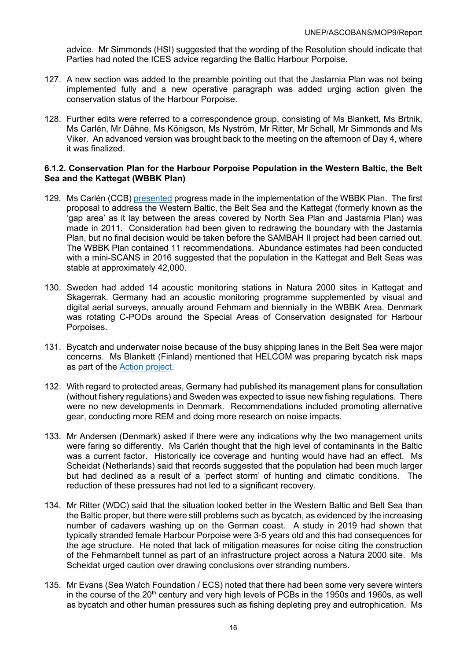advice. Mr Simmonds (HSI) suggested that the wording of the Resolution should indicate that Parties had noted the ICES advice regarding the Baltic Harbour Porpoise.

- 127. A new section was added to the preamble pointing out that the Jastarnia Plan was not being implemented fully and a new operative paragraph was added urging action given the conservation status of the Harbour Porpoise.
- 128. Further edits were referred to a correspondence group, consisting of Ms Blankett, Ms Brtnik, Ms Carlén, Mr Dähne, Ms Königson, Ms Nyström, Mr Ritter, Mr Schall, Mr Simmonds and Ms Viker. An advanced version was brought back to the meeting on the afternoon of Day 4, where it was finalized.

## <span id="page-19-0"></span>**6.1.2. Conservation Plan for the Harbour Porpoise Population in the Western Baltic, the Belt Sea and the Kattegat (WBBK Plan)**

- 129. Ms Carlén (CCB) [presented](https://www.ascobans.org/en/document/wbbk-plan-conservation-plan-harbour-porpoise-population-western-baltic-belt-sea-and) progress made in the implementation of the WBBK Plan. The first proposal to address the Western Baltic, the Belt Sea and the Kattegat (formerly known as the 'gap area' as it lay between the areas covered by North Sea Plan and Jastarnia Plan) was made in 2011. Consideration had been given to redrawing the boundary with the Jastarnia Plan, but no final decision would be taken before the SAMBAH II project had been carried out. The WBBK Plan contained 11 recommendations. Abundance estimates had been conducted with a mini-SCANS in 2016 suggested that the population in the Kattegat and Belt Seas was stable at approximately 42,000.
- 130. Sweden had added 14 acoustic monitoring stations in Natura 2000 sites in Kattegat and Skagerrak. Germany had an acoustic monitoring programme supplemented by visual and digital aerial surveys, annually around Fehmarn and biennially in the WBBK Area. Denmark was rotating C-PODs around the Special Areas of Conservation designated for Harbour Porpoises.
- 131. Bycatch and underwater noise because of the busy shipping lanes in the Belt Sea were major concerns. Ms Blankett (Finland) mentioned that HELCOM was preparing bycatch risk maps as part of the [Action project.](https://helcom.fi/helcom-at-work/projects/action/)
- 132. With regard to protected areas, Germany had published its management plans for consultation (without fishery regulations) and Sweden was expected to issue new fishing regulations. There were no new developments in Denmark. Recommendations included promoting alternative gear, conducting more REM and doing more research on noise impacts.
- 133. Mr Andersen (Denmark) asked if there were any indications why the two management units were faring so differently. Ms Carlén thought that the high level of contaminants in the Baltic was a current factor. Historically ice coverage and hunting would have had an effect. Ms Scheidat (Netherlands) said that records suggested that the population had been much larger but had declined as a result of a 'perfect storm' of hunting and climatic conditions. The reduction of these pressures had not led to a significant recovery.
- 134. Mr Ritter (WDC) said that the situation looked better in the Western Baltic and Belt Sea than the Baltic proper, but there were still problems such as bycatch, as evidenced by the increasing number of cadavers washing up on the German coast. A study in 2019 had shown that typically stranded female Harbour Porpoise were 3-5 years old and this had consequences for the age structure. He noted that lack of mitigation measures for noise citing the construction of the Fehmarnbelt tunnel as part of an infrastructure project across a Natura 2000 site. Ms Scheidat urged caution over drawing conclusions over stranding numbers.
- 135. Mr Evans (Sea Watch Foundation / ECS) noted that there had been some very severe winters in the course of the  $20<sup>th</sup>$  century and very high levels of PCBs in the 1950s and 1960s, as well as bycatch and other human pressures such as fishing depleting prey and eutrophication. Ms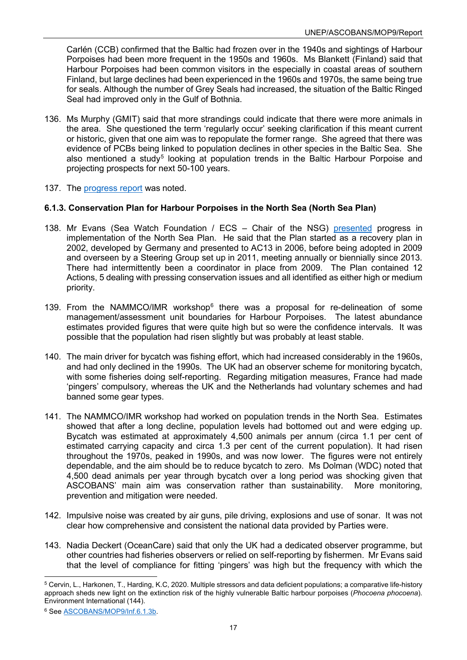Carlén (CCB) confirmed that the Baltic had frozen over in the 1940s and sightings of Harbour Porpoises had been more frequent in the 1950s and 1960s. Ms Blankett (Finland) said that Harbour Porpoises had been common visitors in the especially in coastal areas of southern Finland, but large declines had been experienced in the 1960s and 1970s, the same being true for seals. Although the number of Grey Seals had increased, the situation of the Baltic Ringed Seal had improved only in the Gulf of Bothnia.

- 136. Ms Murphy (GMIT) said that more strandings could indicate that there were more animals in the area. She questioned the term 'regularly occur' seeking clarification if this meant current or historic, given that one aim was to repopulate the former range. She agreed that there was evidence of PCBs being linked to population declines in other species in the Baltic Sea. She also mentioned a study<sup>[5](#page-20-1)</sup> looking at population trends in the Baltic Harbour Porpoise and projecting prospects for next 50-100 years.
- 137. The [progress report](https://www.ascobans.org/en/document/progress-report-conservation-plan-harbour-porpoise-population-western-baltic-belt-sea-and-0) was noted.

# <span id="page-20-0"></span>**6.1.3. Conservation Plan for Harbour Porpoises in the North Sea (North Sea Plan)**

- 138. Mr Evans (Sea Watch Foundation / ECS Chair of the NSG) [presented](https://www.ascobans.org/en/document/north-sea-plan-conservation-plan-harbour-porpoises-north-sea) progress in implementation of the North Sea Plan. He said that the Plan started as a recovery plan in 2002, developed by Germany and presented to AC13 in 2006, before being adopted in 2009 and overseen by a Steering Group set up in 2011, meeting annually or biennially since 2013. There had intermittently been a coordinator in place from 2009. The Plan contained 12 Actions, 5 dealing with pressing conservation issues and all identified as either high or medium priority.
- 139. From the NAMMCO/IMR workshop $6$  there was a proposal for re-delineation of some management/assessment unit boundaries for Harbour Porpoises. The latest abundance estimates provided figures that were quite high but so were the confidence intervals. It was possible that the population had risen slightly but was probably at least stable.
- 140. The main driver for bycatch was fishing effort, which had increased considerably in the 1960s, and had only declined in the 1990s. The UK had an observer scheme for monitoring bycatch, with some fisheries doing self-reporting. Regarding mitigation measures, France had made 'pingers' compulsory, whereas the UK and the Netherlands had voluntary schemes and had banned some gear types.
- 141. The NAMMCO/IMR workshop had worked on population trends in the North Sea. Estimates showed that after a long decline, population levels had bottomed out and were edging up. Bycatch was estimated at approximately 4,500 animals per annum (circa 1.1 per cent of estimated carrying capacity and circa 1.3 per cent of the current population). It had risen throughout the 1970s, peaked in 1990s, and was now lower. The figures were not entirely dependable, and the aim should be to reduce bycatch to zero. Ms Dolman (WDC) noted that 4,500 dead animals per year through bycatch over a long period was shocking given that ASCOBANS' main aim was conservation rather than sustainability. More monitoring, prevention and mitigation were needed.
- 142. Impulsive noise was created by air guns, pile driving, explosions and use of sonar. It was not clear how comprehensive and consistent the national data provided by Parties were.
- 143. Nadia Deckert (OceanCare) said that only the UK had a dedicated observer programme, but other countries had fisheries observers or relied on self-reporting by fishermen. Mr Evans said that the level of compliance for fitting 'pingers' was high but the frequency with which the

<span id="page-20-1"></span><sup>5</sup> Cervin, L., Harkonen, T., Harding, K.C, 2020. Multiple stressors and data deficient populations; a comparative life-history approach sheds new light on the extinction risk of the highly vulnerable Baltic harbour porpoises (*Phocoena phocoena*). Environment International (144).

<span id="page-20-2"></span><sup>6</sup> See [ASCOBANS/MOP9/Inf.6.1.3b.](https://www.ascobans.org/en/document/report-joint-imrnammco-international-workshop-status-harbour-porpoises-north-atlantic-0)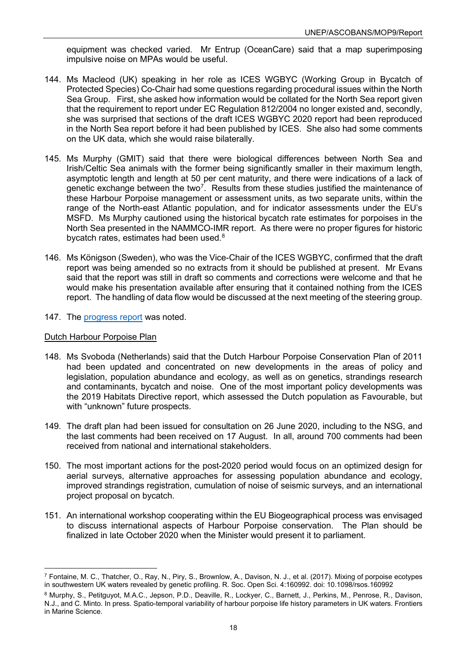equipment was checked varied. Mr Entrup (OceanCare) said that a map superimposing impulsive noise on MPAs would be useful.

- 144. Ms Macleod (UK) speaking in her role as ICES WGBYC (Working Group in Bycatch of Protected Species) Co-Chair had some questions regarding procedural issues within the North Sea Group. First, she asked how information would be collated for the North Sea report given that the requirement to report under EC Regulation 812/2004 no longer existed and, secondly, she was surprised that sections of the draft ICES WGBYC 2020 report had been reproduced in the North Sea report before it had been published by ICES. She also had some comments on the UK data, which she would raise bilaterally.
- 145. Ms Murphy (GMIT) said that there were biological differences between North Sea and Irish/Celtic Sea animals with the former being significantly smaller in their maximum length, asymptotic length and length at 50 per cent maturity, and there were indications of a lack of genetic exchange between the two<sup>[7](#page-21-1)</sup>. Results from these studies justified the maintenance of these Harbour Porpoise management or assessment units, as two separate units, within the range of the North-east Atlantic population, and for indicator assessments under the EU's MSFD. Ms Murphy cautioned using the historical bycatch rate estimates for porpoises in the North Sea presented in the NAMMCO-IMR report. As there were no proper figures for historic bycatch rates, estimates had been used.<sup>[8](#page-21-2)</sup>
- 146. Ms Königson (Sweden), who was the Vice-Chair of the ICES WGBYC, confirmed that the draft report was being amended so no extracts from it should be published at present. Mr Evans said that the report was still in draft so comments and corrections were welcome and that he would make his presentation available after ensuring that it contained nothing from the ICES report. The handling of data flow would be discussed at the next meeting of the steering group.
- 147. The [progress report](https://www.ascobans.org/en/document/progress-report-conservation-plan-harbour-porpoise-north-sea-0) was noted.

#### <span id="page-21-0"></span>Dutch Harbour Porpoise Plan

- 148. Ms Svoboda (Netherlands) said that the Dutch Harbour Porpoise Conservation Plan of 2011 had been updated and concentrated on new developments in the areas of policy and legislation, population abundance and ecology, as well as on genetics, strandings research and contaminants, bycatch and noise. One of the most important policy developments was the 2019 Habitats Directive report, which assessed the Dutch population as Favourable, but with "unknown" future prospects.
- 149. The draft plan had been issued for consultation on 26 June 2020, including to the NSG, and the last comments had been received on 17 August. In all, around 700 comments had been received from national and international stakeholders.
- 150. The most important actions for the post-2020 period would focus on an optimized design for aerial surveys, alternative approaches for assessing population abundance and ecology, improved strandings registration, cumulation of noise of seismic surveys, and an international project proposal on bycatch.
- 151. An international workshop cooperating within the EU Biogeographical process was envisaged to discuss international aspects of Harbour Porpoise conservation. The Plan should be finalized in late October 2020 when the Minister would present it to parliament.

<span id="page-21-1"></span><sup>7</sup> Fontaine, M. C., Thatcher, O., Ray, N., Piry, S., Brownlow, A., Davison, N. J., et al. (2017). Mixing of porpoise ecotypes in southwestern UK waters revealed by genetic profiling. R. Soc. Open Sci. 4:160992. doi: 10.1098/rsos.160992

<span id="page-21-2"></span><sup>8</sup> Murphy, S., Petitguyot, M.A.C., Jepson, P.D., Deaville, R., Lockyer, C., Barnett, J., Perkins, M., Penrose, R., Davison, N.J., and C. Minto. In press. Spatio-temporal variability of harbour porpoise life history parameters in UK waters. Frontiers in Marine Science.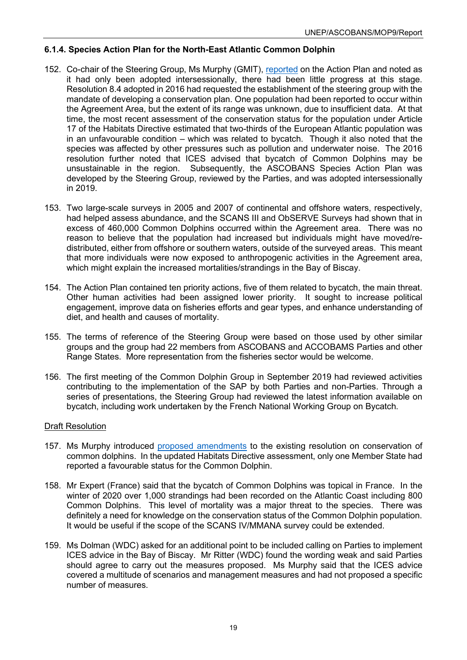## <span id="page-22-0"></span>**6.1.4. Species Action Plan for the North-East Atlantic Common Dolphin**

- 152. Co-chair of the Steering Group, Ms Murphy (GMIT), [reported](https://www.ascobans.org/en/document/species-action-plan-north-east-atlantic-common-dolphin-0) on the Action Plan and noted as it had only been adopted intersessionally, there had been little progress at this stage. Resolution 8.4 adopted in 2016 had requested the establishment of the steering group with the mandate of developing a conservation plan. One population had been reported to occur within the Agreement Area, but the extent of its range was unknown, due to insufficient data. At that time, the most recent assessment of the conservation status for the population under Article 17 of the Habitats Directive estimated that two-thirds of the European Atlantic population was in an unfavourable condition – which was related to bycatch. Though it also noted that the species was affected by other pressures such as pollution and underwater noise. The 2016 resolution further noted that ICES advised that bycatch of Common Dolphins may be unsustainable in the region. Subsequently, the ASCOBANS Species Action Plan was developed by the Steering Group, reviewed by the Parties, and was adopted intersessionally in 2019.
- 153. Two large-scale surveys in 2005 and 2007 of continental and offshore waters, respectively, had helped assess abundance, and the SCANS III and ObSERVE Surveys had shown that in excess of 460,000 Common Dolphins occurred within the Agreement area. There was no reason to believe that the population had increased but individuals might have moved/redistributed, either from offshore or southern waters, outside of the surveyed areas. This meant that more individuals were now exposed to anthropogenic activities in the Agreement area, which might explain the increased mortalities/strandings in the Bay of Biscay.
- 154. The Action Plan contained ten priority actions, five of them related to bycatch, the main threat. Other human activities had been assigned lower priority. It sought to increase political engagement, improve data on fisheries efforts and gear types, and enhance understanding of diet, and health and causes of mortality.
- 155. The terms of reference of the Steering Group were based on those used by other similar groups and the group had 22 members from ASCOBANS and ACCOBAMS Parties and other Range States. More representation from the fisheries sector would be welcome.
- 156. The first meeting of the Common Dolphin Group in September 2019 had reviewed activities contributing to the implementation of the SAP by both Parties and non-Parties. Through a series of presentations, the Steering Group had reviewed the latest information available on bycatch, including work undertaken by the French National Working Group on Bycatch.

## <span id="page-22-1"></span>Draft Resolution

- 157. Ms Murphy introduced [proposed amendments](https://www.ascobans.org/en/document/proposed-amendments-resolution-84-conservation-common-dolphins) to the existing resolution on conservation of common dolphins. In the updated Habitats Directive assessment, only one Member State had reported a favourable status for the Common Dolphin.
- 158. Mr Expert (France) said that the bycatch of Common Dolphins was topical in France. In the winter of 2020 over 1,000 strandings had been recorded on the Atlantic Coast including 800 Common Dolphins. This level of mortality was a major threat to the species. There was definitely a need for knowledge on the conservation status of the Common Dolphin population. It would be useful if the scope of the SCANS IV/MMANA survey could be extended.
- 159. Ms Dolman (WDC) asked for an additional point to be included calling on Parties to implement ICES advice in the Bay of Biscay. Mr Ritter (WDC) found the wording weak and said Parties should agree to carry out the measures proposed. Ms Murphy said that the ICES advice covered a multitude of scenarios and management measures and had not proposed a specific number of measures.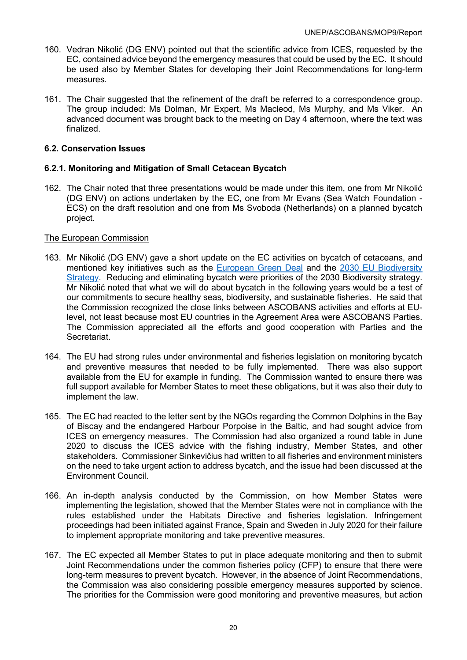- 160. Vedran Nikolić (DG ENV) pointed out that the scientific advice from ICES, requested by the EC, contained advice beyond the emergency measures that could be used by the EC. It should be used also by Member States for developing their Joint Recommendations for long-term measures.
- 161. The Chair suggested that the refinement of the draft be referred to a correspondence group. The group included: Ms Dolman, Mr Expert, Ms Macleod, Ms Murphy, and Ms Viker. An advanced document was brought back to the meeting on Day 4 afternoon, where the text was finalized.

# <span id="page-23-0"></span>**6.2. Conservation Issues**

# <span id="page-23-1"></span>**6.2.1. Monitoring and Mitigation of Small Cetacean Bycatch**

162. The Chair noted that three presentations would be made under this item, one from Mr Nikolić (DG ENV) on actions undertaken by the EC, one from Mr Evans (Sea Watch Foundation - ECS) on the draft resolution and one from Ms Svoboda (Netherlands) on a planned bycatch project.

# The European Commission

- 163. Mr Nikolić (DG ENV) gave a short update on the EC activities on bycatch of cetaceans, and mentioned key initiatives such as the [European Green Deal](https://ec.europa.eu/info/strategy/priorities-2019-2024/european-green-deal_en) and the [2030 EU Biodiversity](https://ec.europa.eu/info/strategy/priorities-2019-2024/european-green-deal/actions-being-taken-eu/eu-biodiversity-strategy-2030_en)  [Strategy.](https://ec.europa.eu/info/strategy/priorities-2019-2024/european-green-deal/actions-being-taken-eu/eu-biodiversity-strategy-2030_en) Reducing and eliminating bycatch were priorities of the 2030 Biodiversity strategy. Mr Nikolić noted that what we will do about bycatch in the following years would be a test of our commitments to secure healthy seas, biodiversity, and sustainable fisheries. He said that the Commission recognized the close links between ASCOBANS activities and efforts at EUlevel, not least because most EU countries in the Agreement Area were ASCOBANS Parties. The Commission appreciated all the efforts and good cooperation with Parties and the Secretariat.
- 164. The EU had strong rules under environmental and fisheries legislation on monitoring bycatch and preventive measures that needed to be fully implemented. There was also support available from the EU for example in funding. The Commission wanted to ensure there was full support available for Member States to meet these obligations, but it was also their duty to implement the law.
- 165. The EC had reacted to the letter sent by the NGOs regarding the Common Dolphins in the Bay of Biscay and the endangered Harbour Porpoise in the Baltic, and had sought advice from ICES on emergency measures. The Commission had also organized a round table in June 2020 to discuss the ICES advice with the fishing industry, Member States, and other stakeholders. Commissioner Sinkevičius had written to all fisheries and environment ministers on the need to take urgent action to address bycatch, and the issue had been discussed at the Environment Council.
- 166. An in-depth analysis conducted by the Commission, on how Member States were implementing the legislation, showed that the Member States were not in compliance with the rules established under the Habitats Directive and fisheries legislation. Infringement proceedings had been initiated against France, Spain and Sweden in July 2020 for their failure to implement appropriate monitoring and take preventive measures.
- 167. The EC expected all Member States to put in place adequate monitoring and then to submit Joint Recommendations under the common fisheries policy (CFP) to ensure that there were long-term measures to prevent bycatch. However, in the absence of Joint Recommendations, the Commission was also considering possible emergency measures supported by science. The priorities for the Commission were good monitoring and preventive measures, but action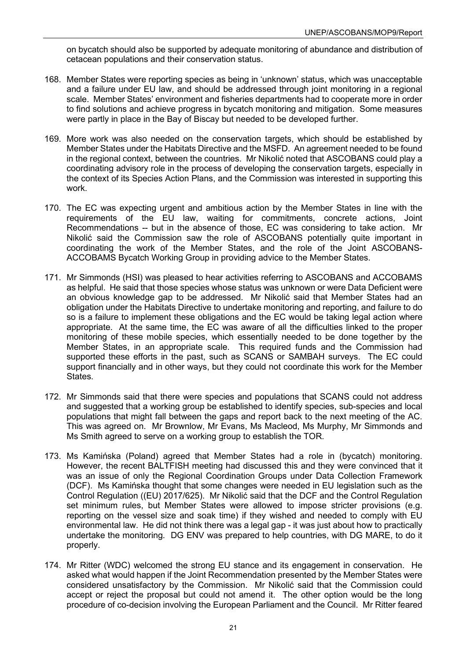on bycatch should also be supported by adequate monitoring of abundance and distribution of cetacean populations and their conservation status.

- 168. Member States were reporting species as being in 'unknown' status, which was unacceptable and a failure under EU law, and should be addressed through joint monitoring in a regional scale. Member States' environment and fisheries departments had to cooperate more in order to find solutions and achieve progress in bycatch monitoring and mitigation. Some measures were partly in place in the Bay of Biscay but needed to be developed further.
- 169. More work was also needed on the conservation targets, which should be established by Member States under the Habitats Directive and the MSFD. An agreement needed to be found in the regional context, between the countries. Mr Nikolić noted that ASCOBANS could play a coordinating advisory role in the process of developing the conservation targets, especially in the context of its Species Action Plans, and the Commission was interested in supporting this work.
- 170. The EC was expecting urgent and ambitious action by the Member States in line with the requirements of the EU law, waiting for commitments, concrete actions, Joint Recommendations -- but in the absence of those, EC was considering to take action. Mr Nikolić said the Commission saw the role of ASCOBANS potentially quite important in coordinating the work of the Member States, and the role of the Joint ASCOBANS-ACCOBAMS Bycatch Working Group in providing advice to the Member States.
- 171. Mr Simmonds (HSI) was pleased to hear activities referring to ASCOBANS and ACCOBAMS as helpful. He said that those species whose status was unknown or were Data Deficient were an obvious knowledge gap to be addressed. Mr Nikolić said that Member States had an obligation under the Habitats Directive to undertake monitoring and reporting, and failure to do so is a failure to implement these obligations and the EC would be taking legal action where appropriate. At the same time, the EC was aware of all the difficulties linked to the proper monitoring of these mobile species, which essentially needed to be done together by the Member States, in an appropriate scale. This required funds and the Commission had supported these efforts in the past, such as SCANS or SAMBAH surveys. The EC could support financially and in other ways, but they could not coordinate this work for the Member States.
- 172. Mr Simmonds said that there were species and populations that SCANS could not address and suggested that a working group be established to identify species, sub-species and local populations that might fall between the gaps and report back to the next meeting of the AC. This was agreed on. Mr Brownlow, Mr Evans, Ms Macleod, Ms Murphy, Mr Simmonds and Ms Smith agreed to serve on a working group to establish the TOR.
- 173. Ms Kamińska (Poland) agreed that Member States had a role in (bycatch) monitoring. However, the recent BALTFISH meeting had discussed this and they were convinced that it was an issue of only the Regional Coordination Groups under Data Collection Framework (DCF). Ms Kamińska thought that some changes were needed in EU legislation such as the Control Regulation ((EU) 2017/625). Mr Nikolić said that the DCF and the Control Regulation set minimum rules, but Member States were allowed to impose stricter provisions (e.g. reporting on the vessel size and soak time) if they wished and needed to comply with EU environmental law. He did not think there was a legal gap - it was just about how to practically undertake the monitoring. DG ENV was prepared to help countries, with DG MARE, to do it properly.
- 174. Mr Ritter (WDC) welcomed the strong EU stance and its engagement in conservation. He asked what would happen if the Joint Recommendation presented by the Member States were considered unsatisfactory by the Commission. Mr Nikolić said that the Commission could accept or reject the proposal but could not amend it. The other option would be the long procedure of co-decision involving the European Parliament and the Council. Mr Ritter feared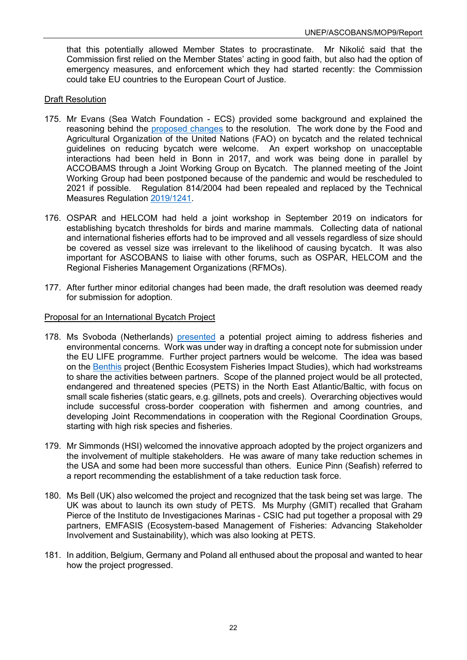that this potentially allowed Member States to procrastinate. Mr Nikolić said that the Commission first relied on the Member States' acting in good faith, but also had the option of emergency measures, and enforcement which they had started recently: the Commission could take EU countries to the European Court of Justice.

# <span id="page-25-0"></span>Draft Resolution

- 175. Mr Evans (Sea Watch Foundation ECS) provided some background and explained the reasoning behind the [proposed changes](https://www.ascobans.org/en/document/proposed-amendments-resolution-85-monitoring-and-mitigation-small-cetacean-bycatch) to the resolution. The work done by the Food and Agricultural Organization of the United Nations (FAO) on bycatch and the related technical guidelines on reducing bycatch were welcome. An expert workshop on unacceptable interactions had been held in Bonn in 2017, and work was being done in parallel by ACCOBAMS through a Joint Working Group on Bycatch. The planned meeting of the Joint Working Group had been postponed because of the pandemic and would be rescheduled to 2021 if possible. Regulation 814/2004 had been repealed and replaced by the Technical Measures Regulation [2019/1241.](https://eur-lex.europa.eu/legal-content/EN/TXT/?uri=CELEX%3A32019R1241)
- 176. OSPAR and HELCOM had held a joint workshop in September 2019 on indicators for establishing bycatch thresholds for birds and marine mammals. Collecting data of national and international fisheries efforts had to be improved and all vessels regardless of size should be covered as vessel size was irrelevant to the likelihood of causing bycatch. It was also important for ASCOBANS to liaise with other forums, such as OSPAR, HELCOM and the Regional Fisheries Management Organizations (RFMOs).
- 177. After further minor editorial changes had been made, the draft resolution was deemed ready for submission for adoption.

## <span id="page-25-1"></span>Proposal for an International Bycatch Project

- 178. Ms Svoboda (Netherlands) [presented](https://www.ascobans.org/en/document/proposal-international-bycatch-project) a potential project aiming to address fisheries and environmental concerns. Work was under way in drafting a concept note for submission under the EU LIFE programme. Further project partners would be welcome. The idea was based on the [Benthis](http://www.benthis.eu/) project (Benthic Ecosystem Fisheries Impact Studies), which had workstreams to share the activities between partners. Scope of the planned project would be all protected, endangered and threatened species (PETS) in the North East Atlantic/Baltic, with focus on small scale fisheries (static gears, e.g. gillnets, pots and creels). Overarching objectives would include successful cross-border cooperation with fishermen and among countries, and developing Joint Recommendations in cooperation with the Regional Coordination Groups, starting with high risk species and fisheries.
- 179. Mr Simmonds (HSI) welcomed the innovative approach adopted by the project organizers and the involvement of multiple stakeholders. He was aware of many take reduction schemes in the USA and some had been more successful than others. Eunice Pinn (Seafish) referred to a report recommending the establishment of a take reduction task force.
- 180. Ms Bell (UK) also welcomed the project and recognized that the task being set was large. The UK was about to launch its own study of PETS. Ms Murphy (GMIT) recalled that Graham Pierce of the Instituto de Investigaciones Marinas - CSIC had put together a proposal with 29 partners, EMFASIS (Ecosystem-based Management of Fisheries: Advancing Stakeholder Involvement and Sustainability), which was also looking at PETS.
- 181. In addition, Belgium, Germany and Poland all enthused about the proposal and wanted to hear how the project progressed.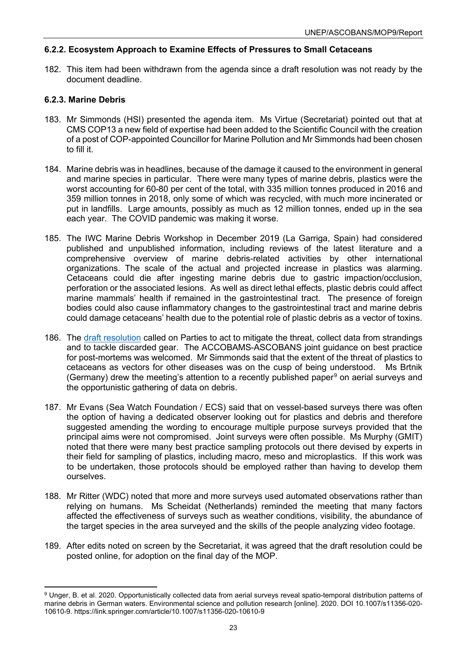## <span id="page-26-0"></span>**6.2.2. Ecosystem Approach to Examine Effects of Pressures to Small Cetaceans**

182. This item had been withdrawn from the agenda since a draft resolution was not ready by the document deadline.

## <span id="page-26-1"></span>**6.2.3. Marine Debris**

- 183. Mr Simmonds (HSI) presented the agenda item. Ms Virtue (Secretariat) pointed out that at CMS COP13 a new field of expertise had been added to the Scientific Council with the creation of a post of COP-appointed Councillor for Marine Pollution and Mr Simmonds had been chosen to fill it.
- 184. Marine debris was in headlines, because of the damage it caused to the environment in general and marine species in particular. There were many types of marine debris, plastics were the worst accounting for 60-80 per cent of the total, with 335 million tonnes produced in 2016 and 359 million tonnes in 2018, only some of which was recycled, with much more incinerated or put in landfills. Large amounts, possibly as much as 12 million tonnes, ended up in the sea each year. The COVID pandemic was making it worse.
- 185. The IWC Marine Debris Workshop in December 2019 (La Garriga, Spain) had considered published and unpublished information, including reviews of the latest literature and a comprehensive overview of marine debris-related activities by other international organizations. The scale of the actual and projected increase in plastics was alarming. Cetaceans could die after ingesting marine debris due to gastric impaction/occlusion, perforation or the associated lesions. As well as direct lethal effects, plastic debris could affect marine mammals' health if remained in the gastrointestinal tract. The presence of foreign bodies could also cause inflammatory changes to the gastrointestinal tract and marine debris could damage cetaceans' health due to the potential role of plastic debris as a vector of toxins.
- 186. The [draft resolution](https://www.ascobans.org/en/document/draft-resolution-marine-debris) called on Parties to act to mitigate the threat, collect data from strandings and to tackle discarded gear. The ACCOBAMS-ASCOBANS joint guidance on best practice for post-mortems was welcomed. Mr Simmonds said that the extent of the threat of plastics to cetaceans as vectors for other diseases was on the cusp of being understood. Ms Brtnik (Germany) drew the meeting's attention to a recently published paper<sup>[9](#page-26-2)</sup> on aerial surveys and the opportunistic gathering of data on debris.
- 187. Mr Evans (Sea Watch Foundation / ECS) said that on vessel-based surveys there was often the option of having a dedicated observer looking out for plastics and debris and therefore suggested amending the wording to encourage multiple purpose surveys provided that the principal aims were not compromised. Joint surveys were often possible. Ms Murphy (GMIT) noted that there were many best practice sampling protocols out there devised by experts in their field for sampling of plastics, including macro, meso and microplastics. If this work was to be undertaken, those protocols should be employed rather than having to develop them ourselves.
- 188. Mr Ritter (WDC) noted that more and more surveys used automated observations rather than relying on humans. Ms Scheidat (Netherlands) reminded the meeting that many factors affected the effectiveness of surveys such as weather conditions, visibility, the abundance of the target species in the area surveyed and the skills of the people analyzing video footage.
- 189. After edits noted on screen by the Secretariat, it was agreed that the draft resolution could be posted online, for adoption on the final day of the MOP.

<span id="page-26-2"></span><sup>9</sup> Unger, B. et al. 2020. Opportunistically collected data from aerial surveys reveal spatio-temporal distribution patterns of marine debris in German waters. Environmental science and pollution research [online]. 2020. DOI 10.1007/s11356-020- 10610-9. https://link.springer.com/article/10.1007/s11356-020-10610-9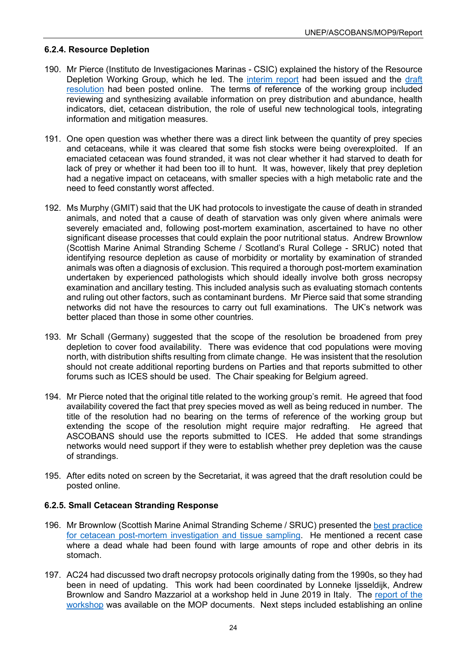# <span id="page-27-0"></span>**6.2.4. Resource Depletion**

- 190. Mr Pierce (Instituto de Investigaciones Marinas CSIC) explained the history of the Resource Depletion Working Group, which he led. The [interim report](https://www.ascobans.org/en/document/interim-report-ascobans-resource-depletion-working-group-august-2020) had been issued and the [draft](https://www.ascobans.org/en/document/draft-resolution-resource-depletion) [resolution](https://www.ascobans.org/en/document/draft-resolution-resource-depletion) had been posted online. The terms of reference of the working group included reviewing and synthesizing available information on prey distribution and abundance, health indicators, diet, cetacean distribution, the role of useful new technological tools, integrating information and mitigation measures.
- 191. One open question was whether there was a direct link between the quantity of prey species and cetaceans, while it was cleared that some fish stocks were being overexploited. If an emaciated cetacean was found stranded, it was not clear whether it had starved to death for lack of prey or whether it had been too ill to hunt. It was, however, likely that prey depletion had a negative impact on cetaceans, with smaller species with a high metabolic rate and the need to feed constantly worst affected.
- 192. Ms Murphy (GMIT) said that the UK had protocols to investigate the cause of death in stranded animals, and noted that a cause of death of starvation was only given where animals were severely emaciated and, following post-mortem examination, ascertained to have no other significant disease processes that could explain the poor nutritional status. Andrew Brownlow (Scottish Marine Animal Stranding Scheme / Scotland's Rural College - SRUC) noted that identifying resource depletion as cause of morbidity or mortality by examination of stranded animals was often a diagnosis of exclusion. This required a thorough post-mortem examination undertaken by experienced pathologists which should ideally involve both gross necropsy examination and ancillary testing. This included analysis such as evaluating stomach contents and ruling out other factors, such as contaminant burdens. Mr Pierce said that some stranding networks did not have the resources to carry out full examinations. The UK's network was better placed than those in some other countries.
- 193. Mr Schall (Germany) suggested that the scope of the resolution be broadened from prey depletion to cover food availability. There was evidence that cod populations were moving north, with distribution shifts resulting from climate change. He was insistent that the resolution should not create additional reporting burdens on Parties and that reports submitted to other forums such as ICES should be used. The Chair speaking for Belgium agreed.
- 194. Mr Pierce noted that the original title related to the working group's remit. He agreed that food availability covered the fact that prey species moved as well as being reduced in number. The title of the resolution had no bearing on the terms of reference of the working group but extending the scope of the resolution might require major redrafting. He agreed that ASCOBANS should use the reports submitted to ICES. He added that some strandings networks would need support if they were to establish whether prey depletion was the cause of strandings.
- 195. After edits noted on screen by the Secretariat, it was agreed that the draft resolution could be posted online.

## <span id="page-27-1"></span>**6.2.5. Small Cetacean Stranding Response**

- 196. Mr Brownlow (Scottish Marine Animal Stranding Scheme / SRUC) presented the [best practice](https://www.ascobans.org/en/document/best-practice-cetacean-post-mortem-investigation-and-tissue-sampling-0)  for cetacean [post-mortem investigation and tissue sampling.](https://www.ascobans.org/en/document/best-practice-cetacean-post-mortem-investigation-and-tissue-sampling-0) He mentioned a recent case where a dead whale had been found with large amounts of rope and other debris in its stomach.
- 197. AC24 had discussed two draft necropsy protocols originally dating from the 1990s, so they had been in need of updating. This work had been coordinated by Lonneke Ijsseldijk, Andrew Brownlow and Sandro Mazzariol at a workshop held in June 2019 in Italy. The [report of the](https://www.ascobans.org/en/document/report-joint-accobams-and-ascobans-workshop-harmonisation-best-practices-necropsy-cetaceans)  [workshop](https://www.ascobans.org/en/document/report-joint-accobams-and-ascobans-workshop-harmonisation-best-practices-necropsy-cetaceans) was available on the MOP documents. Next steps included establishing an online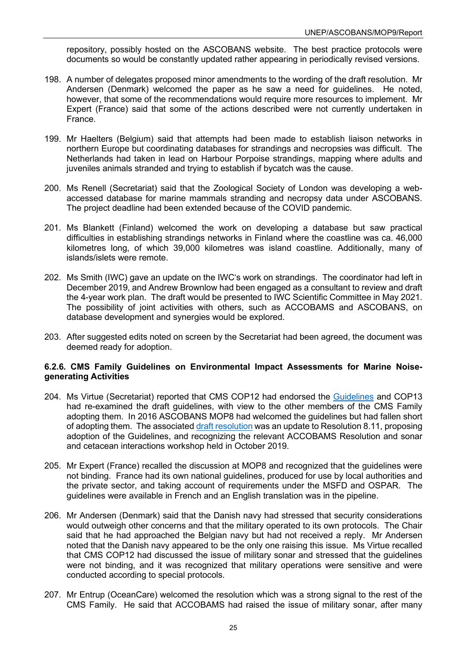repository, possibly hosted on the ASCOBANS website. The best practice protocols were documents so would be constantly updated rather appearing in periodically revised versions.

- 198. A number of delegates proposed minor amendments to the wording of the draft resolution. Mr Andersen (Denmark) welcomed the paper as he saw a need for guidelines. He noted, however, that some of the recommendations would require more resources to implement. Mr Expert (France) said that some of the actions described were not currently undertaken in France.
- 199. Mr Haelters (Belgium) said that attempts had been made to establish liaison networks in northern Europe but coordinating databases for strandings and necropsies was difficult. The Netherlands had taken in lead on Harbour Porpoise strandings, mapping where adults and juveniles animals stranded and trying to establish if bycatch was the cause.
- 200. Ms Renell (Secretariat) said that the Zoological Society of London was developing a webaccessed database for marine mammals stranding and necropsy data under ASCOBANS. The project deadline had been extended because of the COVID pandemic.
- 201. Ms Blankett (Finland) welcomed the work on developing a database but saw practical difficulties in establishing strandings networks in Finland where the coastline was ca. 46,000 kilometres long, of which 39,000 kilometres was island coastline. Additionally, many of islands/islets were remote.
- 202. Ms Smith (IWC) gave an update on the IWC's work on strandings. The coordinator had left in December 2019, and Andrew Brownlow had been engaged as a consultant to review and draft the 4-year work plan. The draft would be presented to IWC Scientific Committee in May 2021. The possibility of joint activities with others, such as ACCOBAMS and ASCOBANS, on database development and synergies would be explored.
- 203. After suggested edits noted on screen by the Secretariat had been agreed, the document was deemed ready for adoption.

## <span id="page-28-0"></span>**6.2.6. CMS Family Guidelines on Environmental Impact Assessments for Marine Noisegenerating Activities**

- 204. Ms Virtue (Secretariat) reported that CMS COP12 had endorsed the [Guidelines](https://www.ascobans.org/en/document/cms-family-guidelines-environmental-impact-assessment-marine-noise-generating-activities) and COP13 had re-examined the draft guidelines, with view to the other members of the CMS Family adopting them. In 2016 ASCOBANS MOP8 had welcomed the guidelines but had fallen short of adopting them. The associated [draft resolution](https://www.ascobans.org/en/document/proposed-amendments-resolution-811-cms-family-guidelines-environmental-impact-assessment) was an update to Resolution 8.11, proposing adoption of the Guidelines, and recognizing the relevant ACCOBAMS Resolution and sonar and cetacean interactions workshop held in October 2019.
- 205. Mr Expert (France) recalled the discussion at MOP8 and recognized that the guidelines were not binding. France had its own national guidelines, produced for use by local authorities and the private sector, and taking account of requirements under the MSFD and OSPAR. The guidelines were available in French and an English translation was in the pipeline.
- 206. Mr Andersen (Denmark) said that the Danish navy had stressed that security considerations would outweigh other concerns and that the military operated to its own protocols. The Chair said that he had approached the Belgian navy but had not received a reply. Mr Andersen noted that the Danish navy appeared to be the only one raising this issue. Ms Virtue recalled that CMS COP12 had discussed the issue of military sonar and stressed that the guidelines were not binding, and it was recognized that military operations were sensitive and were conducted according to special protocols.
- 207. Mr Entrup (OceanCare) welcomed the resolution which was a strong signal to the rest of the CMS Family. He said that ACCOBAMS had raised the issue of military sonar, after many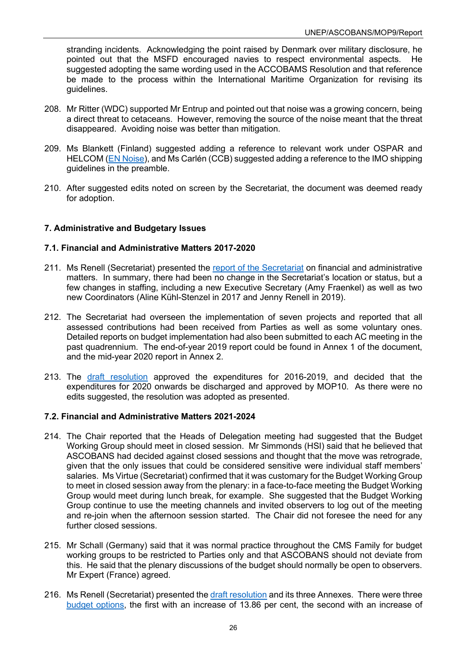stranding incidents. Acknowledging the point raised by Denmark over military disclosure, he pointed out that the MSFD encouraged navies to respect environmental aspects. He suggested adopting the same wording used in the ACCOBAMS Resolution and that reference be made to the process within the International Maritime Organization for revising its guidelines.

- 208. Mr Ritter (WDC) supported Mr Entrup and pointed out that noise was a growing concern, being a direct threat to cetaceans. However, removing the source of the noise meant that the threat disappeared. Avoiding noise was better than mitigation.
- 209. Ms Blankett (Finland) suggested adding a reference to relevant work under OSPAR and HELCOM [\(EN Noise\)](https://helcom.fi/helcom-at-work/groups/pressure/en-noise/), and Ms Carlén (CCB) suggested adding a reference to the IMO shipping guidelines in the preamble.
- 210. After suggested edits noted on screen by the Secretariat, the document was deemed ready for adoption.

#### <span id="page-29-0"></span>**7. Administrative and Budgetary Issues**

#### <span id="page-29-1"></span>**7.1. Financial and Administrative Matters 2017-2020**

- 211. Ms Renell (Secretariat) presented the [report of the Secretariat](https://www.ascobans.org/en/document/report-secretariat-financial-and-administrative-matters-2017-2020) on financial and administrative matters. In summary, there had been no change in the Secretariat's location or status, but a few changes in staffing, including a new Executive Secretary (Amy Fraenkel) as well as two new Coordinators (Aline Kühl-Stenzel in 2017 and Jenny Renell in 2019).
- 212. The Secretariat had overseen the implementation of seven projects and reported that all assessed contributions had been received from Parties as well as some voluntary ones. Detailed reports on budget implementation had also been submitted to each AC meeting in the past quadrennium. The end-of-year 2019 report could be found in Annex 1 of the document, and the mid-year 2020 report in Annex 2.
- 213. The [draft resolution](https://www.ascobans.org/en/document/draft-resolution-management-expenditures-between-2016-and-2019) approved the expenditures for 2016-2019, and decided that the expenditures for 2020 onwards be discharged and approved by MOP10. As there were no edits suggested, the resolution was adopted as presented.

#### <span id="page-29-2"></span>**7.2. Financial and Administrative Matters 2021-2024**

- 214. The Chair reported that the Heads of Delegation meeting had suggested that the Budget Working Group should meet in closed session. Mr Simmonds (HSI) said that he believed that ASCOBANS had decided against closed sessions and thought that the move was retrograde, given that the only issues that could be considered sensitive were individual staff members' salaries. Ms Virtue (Secretariat) confirmed that it was customary for the Budget Working Group to meet in closed session away from the plenary: in a face-to-face meeting the Budget Working Group would meet during lunch break, for example. She suggested that the Budget Working Group continue to use the meeting channels and invited observers to log out of the meeting and re-join when the afternoon session started. The Chair did not foresee the need for any further closed sessions.
- 215. Mr Schall (Germany) said that it was normal practice throughout the CMS Family for budget working groups to be restricted to Parties only and that ASCOBANS should not deviate from this. He said that the plenary discussions of the budget should normally be open to observers. Mr Expert (France) agreed.
- 216. Ms Renell (Secretariat) presented the [draft resolution](https://www.ascobans.org/en/document/draft-resolution-financial-and-administrative-matters-2021-2024) and its three Annexes. There were three [budget options,](https://www.ascobans.org/en/document/proposals-budget-financial-period-2021-2024) the first with an increase of 13.86 per cent, the second with an increase of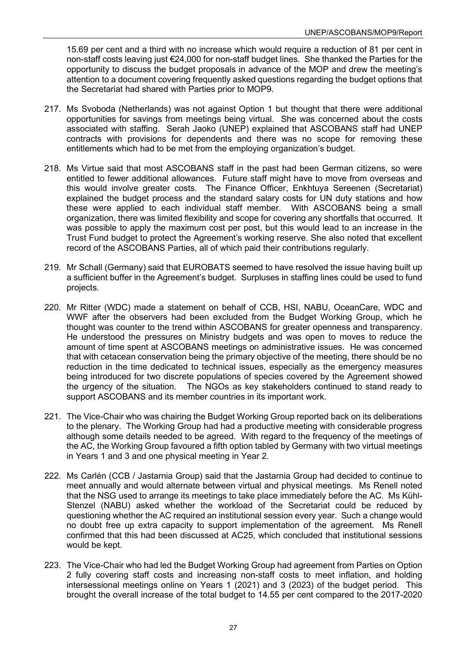15.69 per cent and a third with no increase which would require a reduction of 81 per cent in non-staff costs leaving just €24,000 for non-staff budget lines. She thanked the Parties for the opportunity to discuss the budget proposals in advance of the MOP and drew the meeting's attention to a document covering frequently asked questions regarding the budget options that the Secretariat had shared with Parties prior to MOP9.

- 217. Ms Svoboda (Netherlands) was not against Option 1 but thought that there were additional opportunities for savings from meetings being virtual. She was concerned about the costs associated with staffing. Serah Jaoko (UNEP) explained that ASCOBANS staff had UNEP contracts with provisions for dependents and there was no scope for removing these entitlements which had to be met from the employing organization's budget.
- 218. Ms Virtue said that most ASCOBANS staff in the past had been German citizens, so were entitled to fewer additional allowances. Future staff might have to move from overseas and this would involve greater costs. The Finance Officer, Enkhtuya Sereenen (Secretariat) explained the budget process and the standard salary costs for UN duty stations and how these were applied to each individual staff member. With ASCOBANS being a small organization, there was limited flexibility and scope for covering any shortfalls that occurred. It was possible to apply the maximum cost per post, but this would lead to an increase in the Trust Fund budget to protect the Agreement's working reserve. She also noted that excellent record of the ASCOBANS Parties, all of which paid their contributions regularly.
- 219. Mr Schall (Germany) said that EUROBATS seemed to have resolved the issue having built up a sufficient buffer in the Agreement's budget. Surpluses in staffing lines could be used to fund projects.
- 220. Mr Ritter (WDC) made a statement on behalf of CCB, HSI, NABU, OceanCare, WDC and WWF after the observers had been excluded from the Budget Working Group, which he thought was counter to the trend within ASCOBANS for greater openness and transparency. He understood the pressures on Ministry budgets and was open to moves to reduce the amount of time spent at ASCOBANS meetings on administrative issues. He was concerned that with cetacean conservation being the primary objective of the meeting, there should be no reduction in the time dedicated to technical issues, especially as the emergency measures being introduced for two discrete populations of species covered by the Agreement showed the urgency of the situation. The NGOs as key stakeholders continued to stand ready to support ASCOBANS and its member countries in its important work.
- 221. The Vice-Chair who was chairing the Budget Working Group reported back on its deliberations to the plenary. The Working Group had had a productive meeting with considerable progress although some details needed to be agreed. With regard to the frequency of the meetings of the AC, the Working Group favoured a fifth option tabled by Germany with two virtual meetings in Years 1 and 3 and one physical meeting in Year 2.
- 222. Ms Carlén (CCB / Jastarnia Group) said that the Jastarnia Group had decided to continue to meet annually and would alternate between virtual and physical meetings. Ms Renell noted that the NSG used to arrange its meetings to take place immediately before the AC. Ms Kühl-Stenzel (NABU) asked whether the workload of the Secretariat could be reduced by questioning whether the AC required an institutional session every year. Such a change would no doubt free up extra capacity to support implementation of the agreement. Ms Renell confirmed that this had been discussed at AC25, which concluded that institutional sessions would be kept.
- 223. The Vice-Chair who had led the Budget Working Group had agreement from Parties on Option 2 fully covering staff costs and increasing non-staff costs to meet inflation, and holding intersessional meetings online on Years 1 (2021) and 3 (2023) of the budget period. This brought the overall increase of the total budget to 14.55 per cent compared to the 2017-2020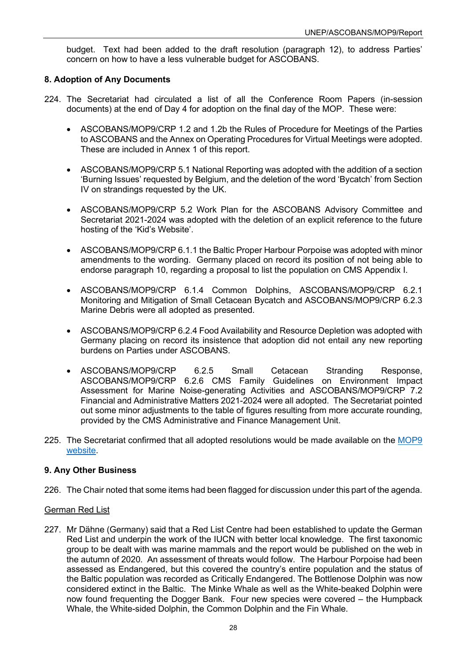budget. Text had been added to the draft resolution (paragraph 12), to address Parties' concern on how to have a less vulnerable budget for ASCOBANS.

# <span id="page-31-0"></span>**8. Adoption of Any Documents**

- 224. The Secretariat had circulated a list of all the Conference Room Papers (in-session documents) at the end of Day 4 for adoption on the final day of the MOP. These were:
	- ASCOBANS/MOP9/CRP 1.2 and 1.2b the Rules of Procedure for Meetings of the Parties to ASCOBANS and the Annex on Operating Procedures for Virtual Meetings were adopted. These are included in Annex 1 of this report.
	- ASCOBANS/MOP9/CRP 5.1 National Reporting was adopted with the addition of a section 'Burning Issues' requested by Belgium, and the deletion of the word 'Bycatch' from Section IV on strandings requested by the UK.
	- ASCOBANS/MOP9/CRP 5.2 Work Plan for the ASCOBANS Advisory Committee and Secretariat 2021-2024 was adopted with the deletion of an explicit reference to the future hosting of the 'Kid's Website'.
	- ASCOBANS/MOP9/CRP 6.1.1 the Baltic Proper Harbour Porpoise was adopted with minor amendments to the wording. Germany placed on record its position of not being able to endorse paragraph 10, regarding a proposal to list the population on CMS Appendix I.
	- ASCOBANS/MOP9/CRP 6.1.4 Common Dolphins, ASCOBANS/MOP9/CRP 6.2.1 Monitoring and Mitigation of Small Cetacean Bycatch and ASCOBANS/MOP9/CRP 6.2.3 Marine Debris were all adopted as presented.
	- ASCOBANS/MOP9/CRP 6.2.4 Food Availability and Resource Depletion was adopted with Germany placing on record its insistence that adoption did not entail any new reporting burdens on Parties under ASCOBANS.
	- ASCOBANS/MOP9/CRP 6.2.5 Small Cetacean Stranding Response, ASCOBANS/MOP9/CRP 6.2.6 CMS Family Guidelines on Environment Impact Assessment for Marine Noise-generating Activities and ASCOBANS/MOP9/CRP 7.2 Financial and Administrative Matters 2021-2024 were all adopted. The Secretariat pointed out some minor adjustments to the table of figures resulting from more accurate rounding, provided by the CMS Administrative and Finance Management Unit.
- 225. The Secretariat confirmed that all adopted resolutions would be made available on the [MOP9](https://www.ascobans.org/en/meeting/mop9)  [website.](https://www.ascobans.org/en/meeting/mop9)

# <span id="page-31-1"></span>**9. Any Other Business**

226. The Chair noted that some items had been flagged for discussion under this part of the agenda.

## <span id="page-31-2"></span>German Red List

227. Mr Dähne (Germany) said that a Red List Centre had been established to update the German Red List and underpin the work of the IUCN with better local knowledge. The first taxonomic group to be dealt with was marine mammals and the report would be published on the web in the autumn of 2020. An assessment of threats would follow. The Harbour Porpoise had been assessed as Endangered, but this covered the country's entire population and the status of the Baltic population was recorded as Critically Endangered. The Bottlenose Dolphin was now considered extinct in the Baltic. The Minke Whale as well as the White-beaked Dolphin were now found frequenting the Dogger Bank. Four new species were covered – the Humpback Whale, the White-sided Dolphin, the Common Dolphin and the Fin Whale.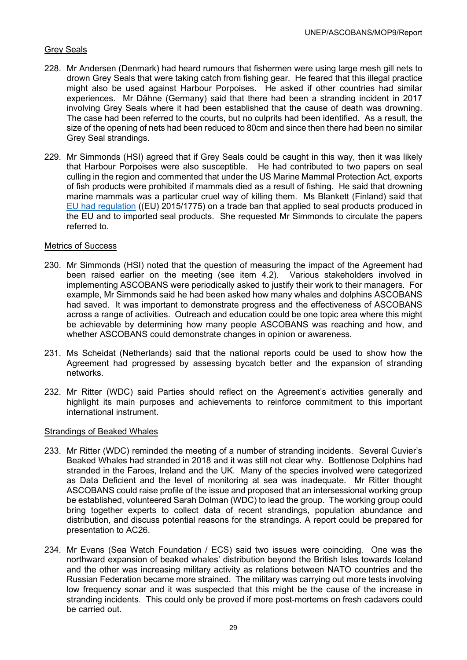# <span id="page-32-0"></span>Grey Seals

- 228. Mr Andersen (Denmark) had heard rumours that fishermen were using large mesh gill nets to drown Grey Seals that were taking catch from fishing gear. He feared that this illegal practice might also be used against Harbour Porpoises. He asked if other countries had similar experiences. Mr Dähne (Germany) said that there had been a stranding incident in 2017 involving Grey Seals where it had been established that the cause of death was drowning. The case had been referred to the courts, but no culprits had been identified. As a result, the size of the opening of nets had been reduced to 80cm and since then there had been no similar Grey Seal strandings.
- 229. Mr Simmonds (HSI) agreed that if Grey Seals could be caught in this way, then it was likely that Harbour Porpoises were also susceptible. He had contributed to two papers on seal culling in the region and commented that under the US Marine Mammal Protection Act, exports of fish products were prohibited if mammals died as a result of fishing. He said that drowning marine mammals was a particular cruel way of killing them. Ms Blankett (Finland) said that EU had [regulation](https://eur-lex.europa.eu/legal-content/EN/TXT/?uri=CELEX:32015R1775) ((EU) 2015/1775) on a trade ban that applied to seal products produced in the EU and to imported seal products. She requested Mr Simmonds to circulate the papers referred to.

## <span id="page-32-1"></span>Metrics of Success

- 230. Mr Simmonds (HSI) noted that the question of measuring the impact of the Agreement had been raised earlier on the meeting (see item 4.2). Various stakeholders involved in implementing ASCOBANS were periodically asked to justify their work to their managers. For example, Mr Simmonds said he had been asked how many whales and dolphins ASCOBANS had saved. It was important to demonstrate progress and the effectiveness of ASCOBANS across a range of activities. Outreach and education could be one topic area where this might be achievable by determining how many people ASCOBANS was reaching and how, and whether ASCOBANS could demonstrate changes in opinion or awareness.
- 231. Ms Scheidat (Netherlands) said that the national reports could be used to show how the Agreement had progressed by assessing bycatch better and the expansion of stranding networks.
- 232. Mr Ritter (WDC) said Parties should reflect on the Agreement's activities generally and highlight its main purposes and achievements to reinforce commitment to this important international instrument.

## <span id="page-32-2"></span>Strandings of Beaked Whales

- 233. Mr Ritter (WDC) reminded the meeting of a number of stranding incidents. Several Cuvier's Beaked Whales had stranded in 2018 and it was still not clear why. Bottlenose Dolphins had stranded in the Faroes, Ireland and the UK. Many of the species involved were categorized as Data Deficient and the level of monitoring at sea was inadequate. Mr Ritter thought ASCOBANS could raise profile of the issue and proposed that an intersessional working group be established, volunteered Sarah Dolman (WDC) to lead the group. The working group could bring together experts to collect data of recent strandings, population abundance and distribution, and discuss potential reasons for the strandings. A report could be prepared for presentation to AC26.
- 234. Mr Evans (Sea Watch Foundation / ECS) said two issues were coinciding. One was the northward expansion of beaked whales' distribution beyond the British Isles towards Iceland and the other was increasing military activity as relations between NATO countries and the Russian Federation became more strained. The military was carrying out more tests involving low frequency sonar and it was suspected that this might be the cause of the increase in stranding incidents. This could only be proved if more post-mortems on fresh cadavers could be carried out.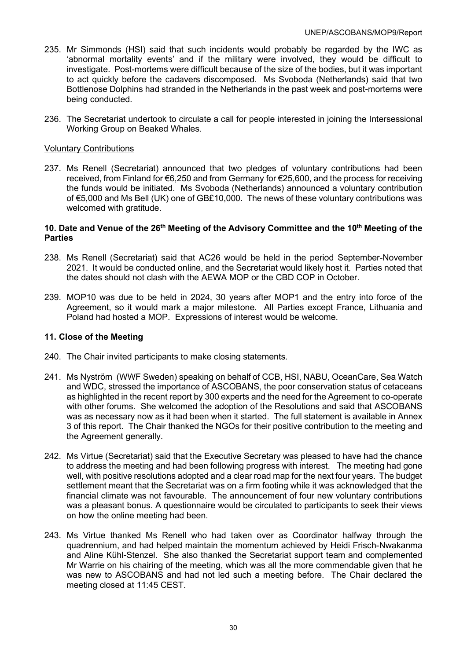- 235. Mr Simmonds (HSI) said that such incidents would probably be regarded by the IWC as 'abnormal mortality events' and if the military were involved, they would be difficult to investigate. Post-mortems were difficult because of the size of the bodies, but it was important to act quickly before the cadavers discomposed. Ms Svoboda (Netherlands) said that two Bottlenose Dolphins had stranded in the Netherlands in the past week and post-mortems were being conducted.
- 236. The Secretariat undertook to circulate a call for people interested in joining the Intersessional Working Group on Beaked Whales.

## <span id="page-33-0"></span>Voluntary Contributions

237. Ms Renell (Secretariat) announced that two pledges of voluntary contributions had been received, from Finland for €6,250 and from Germany for €25,600, and the process for receiving the funds would be initiated. Ms Svoboda (Netherlands) announced a voluntary contribution of €5,000 and Ms Bell (UK) one of GB£10,000. The news of these voluntary contributions was welcomed with gratitude.

## <span id="page-33-1"></span>**10. Date and Venue of the 26th Meeting of the Advisory Committee and the 10th Meeting of the Parties**

- 238. Ms Renell (Secretariat) said that AC26 would be held in the period September-November 2021. It would be conducted online, and the Secretariat would likely host it. Parties noted that the dates should not clash with the AEWA MOP or the CBD COP in October.
- 239. MOP10 was due to be held in 2024, 30 years after MOP1 and the entry into force of the Agreement, so it would mark a major milestone. All Parties except France, Lithuania and Poland had hosted a MOP. Expressions of interest would be welcome.

## <span id="page-33-2"></span>**11. Close of the Meeting**

- 240. The Chair invited participants to make closing statements.
- 241. Ms Nyström (WWF Sweden) speaking on behalf of CCB, HSI, NABU, OceanCare, Sea Watch and WDC, stressed the importance of ASCOBANS, the poor conservation status of cetaceans as highlighted in the recent report by 300 experts and the need for the Agreement to co-operate with other forums. She welcomed the adoption of the Resolutions and said that ASCOBANS was as necessary now as it had been when it started. The full statement is available in Annex 3 of this report. The Chair thanked the NGOs for their positive contribution to the meeting and the Agreement generally.
- 242. Ms Virtue (Secretariat) said that the Executive Secretary was pleased to have had the chance to address the meeting and had been following progress with interest. The meeting had gone well, with positive resolutions adopted and a clear road map for the next four years. The budget settlement meant that the Secretariat was on a firm footing while it was acknowledged that the financial climate was not favourable. The announcement of four new voluntary contributions was a pleasant bonus. A questionnaire would be circulated to participants to seek their views on how the online meeting had been.
- 243. Ms Virtue thanked Ms Renell who had taken over as Coordinator halfway through the quadrennium, and had helped maintain the momentum achieved by Heidi Frisch-Nwakanma and Aline Kühl-Stenzel. She also thanked the Secretariat support team and complemented Mr Warrie on his chairing of the meeting, which was all the more commendable given that he was new to ASCOBANS and had not led such a meeting before. The Chair declared the meeting closed at 11:45 CEST.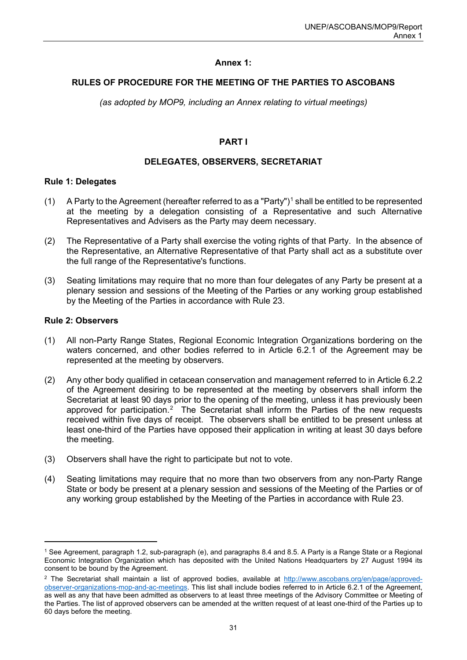## **Annex 1:**

## <span id="page-34-0"></span>**RULES OF PROCEDURE FOR THE MEETING OF THE PARTIES TO ASCOBANS**

*(as adopted by MOP9, including an Annex relating to virtual meetings)*

## **PART I**

## **DELEGATES, OBSERVERS, SECRETARIAT**

#### **Rule 1: Delegates**

- ([1](#page-34-1)) A Party to the Agreement (hereafter referred to as a "Party")<sup>1</sup> shall be entitled to be represented at the meeting by a delegation consisting of a Representative and such Alternative Representatives and Advisers as the Party may deem necessary.
- (2) The Representative of a Party shall exercise the voting rights of that Party. In the absence of the Representative, an Alternative Representative of that Party shall act as a substitute over the full range of the Representative's functions.
- (3) Seating limitations may require that no more than four delegates of any Party be present at a plenary session and sessions of the Meeting of the Parties or any working group established by the Meeting of the Parties in accordance with Rule 23.

#### **Rule 2: Observers**

- (1) All non-Party Range States, Regional Economic Integration Organizations bordering on the waters concerned, and other bodies referred to in Article 6.2.1 of the Agreement may be represented at the meeting by observers.
- (2) Any other body qualified in cetacean conservation and management referred to in Article 6.2.2 of the Agreement desiring to be represented at the meeting by observers shall inform the Secretariat at least 90 days prior to the opening of the meeting, unless it has previously been approved for participation.<sup>[2](#page-34-2)</sup> The Secretariat shall inform the Parties of the new requests received within five days of receipt. The observers shall be entitled to be present unless at least one-third of the Parties have opposed their application in writing at least 30 days before the meeting.
- (3) Observers shall have the right to participate but not to vote.
- (4) Seating limitations may require that no more than two observers from any non-Party Range State or body be present at a plenary session and sessions of the Meeting of the Parties or of any working group established by the Meeting of the Parties in accordance with Rule 23.

<span id="page-34-1"></span><sup>&</sup>lt;sup>1</sup> See Agreement, paragraph 1.2, sub-paragraph (e), and paragraphs 8.4 and 8.5. A Party is a Range State or a Regional Economic Integration Organization which has deposited with the United Nations Headquarters by 27 August 1994 its consent to be bound by the Agreement.

<span id="page-34-2"></span><sup>2</sup> The Secretariat shall maintain a list of approved bodies, available at [http://www.ascobans.org/en/page/approved](http://www.ascobans.org/en/page/approved-observer-organizations-mop-and-ac-meetings)[observer-organizations-mop-and-ac-meetings.](http://www.ascobans.org/en/page/approved-observer-organizations-mop-and-ac-meetings) This list shall include bodies referred to in Article 6.2.1 of the Agreement, as well as any that have been admitted as observers to at least three meetings of the Advisory Committee or Meeting of the Parties. The list of approved observers can be amended at the written request of at least one-third of the Parties up to 60 days before the meeting.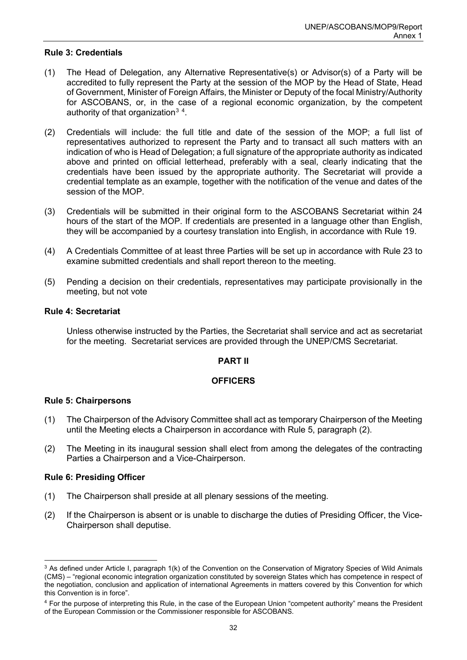#### **Rule 3: Credentials**

- (1) The Head of Delegation, any Alternative Representative(s) or Advisor(s) of a Party will be accredited to fully represent the Party at the session of the MOP by the Head of State, Head of Government, Minister of Foreign Affairs, the Minister or Deputy of the focal Ministry/Authority for ASCOBANS, or, in the case of a regional economic organization, by the competent authority of that organization $^{\rm 3}$  $^{\rm 3}$  $^{\rm 3}$   $^{\rm 4}$  $^{\rm 4}$  $^{\rm 4}$ .
- (2) Credentials will include: the full title and date of the session of the MOP; a full list of representatives authorized to represent the Party and to transact all such matters with an indication of who is Head of Delegation; a full signature of the appropriate authority as indicated above and printed on official letterhead, preferably with a seal, clearly indicating that the credentials have been issued by the appropriate authority. The Secretariat will provide a credential template as an example, together with the notification of the venue and dates of the session of the MOP.
- (3) Credentials will be submitted in their original form to the ASCOBANS Secretariat within 24 hours of the start of the MOP. If credentials are presented in a language other than English, they will be accompanied by a courtesy translation into English, in accordance with Rule 19.
- (4) A Credentials Committee of at least three Parties will be set up in accordance with Rule 23 to examine submitted credentials and shall report thereon to the meeting.
- (5) Pending a decision on their credentials, representatives may participate provisionally in the meeting, but not vote

#### **Rule 4: Secretariat**

Unless otherwise instructed by the Parties, the Secretariat shall service and act as secretariat for the meeting. Secretariat services are provided through the UNEP/CMS Secretariat.

## **PART II**

## **OFFICERS**

#### **Rule 5: Chairpersons**

- (1) The Chairperson of the Advisory Committee shall act as temporary Chairperson of the Meeting until the Meeting elects a Chairperson in accordance with Rule 5, paragraph (2).
- (2) The Meeting in its inaugural session shall elect from among the delegates of the contracting Parties a Chairperson and a Vice-Chairperson.

#### **Rule 6: Presiding Officer**

- (1) The Chairperson shall preside at all plenary sessions of the meeting.
- (2) If the Chairperson is absent or is unable to discharge the duties of Presiding Officer, the Vice-Chairperson shall deputise.

<span id="page-35-0"></span><sup>&</sup>lt;sup>3</sup> As defined under Article I, paragraph 1(k) of the Convention on the Conservation of Migratory Species of Wild Animals (CMS) – "regional economic integration organization constituted by sovereign States which has competence in respect of the negotiation, conclusion and application of international Agreements in matters covered by this Convention for which this Convention is in force".

<span id="page-35-1"></span><sup>4</sup> For the purpose of interpreting this Rule, in the case of the European Union "competent authority" means the President of the European Commission or the Commissioner responsible for ASCOBANS.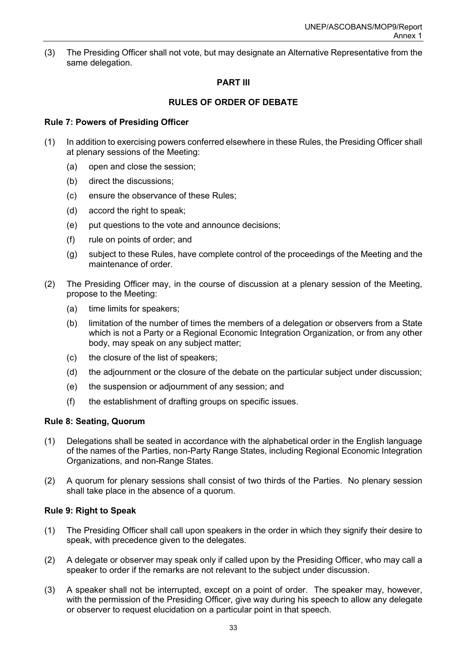(3) The Presiding Officer shall not vote, but may designate an Alternative Representative from the same delegation.

# **PART III**

## **RULES OF ORDER OF DEBATE**

## **Rule 7: Powers of Presiding Officer**

- (1) In addition to exercising powers conferred elsewhere in these Rules, the Presiding Officer shall at plenary sessions of the Meeting:
	- (a) open and close the session;
	- (b) direct the discussions;
	- (c) ensure the observance of these Rules;
	- (d) accord the right to speak;
	- (e) put questions to the vote and announce decisions;
	- (f) rule on points of order; and
	- (g) subject to these Rules, have complete control of the proceedings of the Meeting and the maintenance of order.
- (2) The Presiding Officer may, in the course of discussion at a plenary session of the Meeting, propose to the Meeting:
	- (a) time limits for speakers;
	- (b) limitation of the number of times the members of a delegation or observers from a State which is not a Party or a Regional Economic Integration Organization, or from any other body, may speak on any subject matter;
	- (c) the closure of the list of speakers;
	- (d) the adjournment or the closure of the debate on the particular subject under discussion;
	- (e) the suspension or adjournment of any session; and
	- (f) the establishment of drafting groups on specific issues.

## **Rule 8: Seating, Quorum**

- (1) Delegations shall be seated in accordance with the alphabetical order in the English language of the names of the Parties, non-Party Range States, including Regional Economic Integration Organizations, and non-Range States.
- (2) A quorum for plenary sessions shall consist of two thirds of the Parties. No plenary session shall take place in the absence of a quorum.

## **Rule 9: Right to Speak**

- (1) The Presiding Officer shall call upon speakers in the order in which they signify their desire to speak, with precedence given to the delegates.
- (2) A delegate or observer may speak only if called upon by the Presiding Officer, who may call a speaker to order if the remarks are not relevant to the subject under discussion.
- (3) A speaker shall not be interrupted, except on a point of order. The speaker may, however, with the permission of the Presiding Officer, give way during his speech to allow any delegate or observer to request elucidation on a particular point in that speech.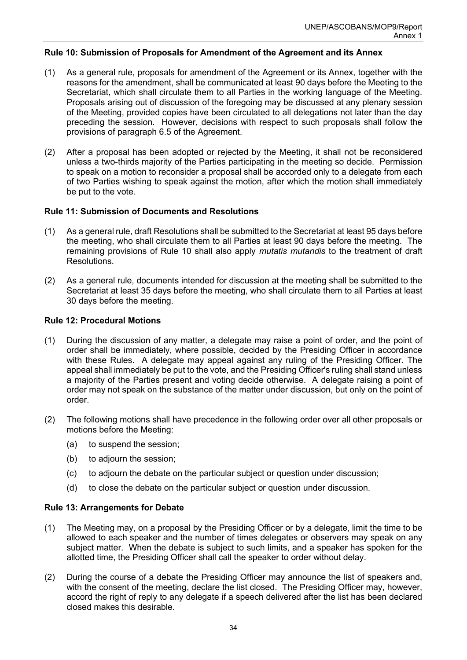#### **Rule 10: Submission of Proposals for Amendment of the Agreement and its Annex**

- (1) As a general rule, proposals for amendment of the Agreement or its Annex, together with the reasons for the amendment, shall be communicated at least 90 days before the Meeting to the Secretariat, which shall circulate them to all Parties in the working language of the Meeting. Proposals arising out of discussion of the foregoing may be discussed at any plenary session of the Meeting, provided copies have been circulated to all delegations not later than the day preceding the session. However, decisions with respect to such proposals shall follow the provisions of paragraph 6.5 of the Agreement.
- (2) After a proposal has been adopted or rejected by the Meeting, it shall not be reconsidered unless a two-thirds majority of the Parties participating in the meeting so decide. Permission to speak on a motion to reconsider a proposal shall be accorded only to a delegate from each of two Parties wishing to speak against the motion, after which the motion shall immediately be put to the vote.

#### **Rule 11: Submission of Documents and Resolutions**

- (1) As a general rule, draft Resolutions shall be submitted to the Secretariat at least 95 days before the meeting, who shall circulate them to all Parties at least 90 days before the meeting. The remaining provisions of Rule 10 shall also apply *mutatis mutandis* to the treatment of draft Resolutions.
- (2) As a general rule, documents intended for discussion at the meeting shall be submitted to the Secretariat at least 35 days before the meeting, who shall circulate them to all Parties at least 30 days before the meeting.

#### **Rule 12: Procedural Motions**

- (1) During the discussion of any matter, a delegate may raise a point of order, and the point of order shall be immediately, where possible, decided by the Presiding Officer in accordance with these Rules. A delegate may appeal against any ruling of the Presiding Officer. The appeal shall immediately be put to the vote, and the Presiding Officer's ruling shall stand unless a majority of the Parties present and voting decide otherwise. A delegate raising a point of order may not speak on the substance of the matter under discussion, but only on the point of order.
- (2) The following motions shall have precedence in the following order over all other proposals or motions before the Meeting:
	- (a) to suspend the session;
	- (b) to adjourn the session;
	- (c) to adjourn the debate on the particular subject or question under discussion;
	- (d) to close the debate on the particular subject or question under discussion.

## **Rule 13: Arrangements for Debate**

- (1) The Meeting may, on a proposal by the Presiding Officer or by a delegate, limit the time to be allowed to each speaker and the number of times delegates or observers may speak on any subject matter. When the debate is subject to such limits, and a speaker has spoken for the allotted time, the Presiding Officer shall call the speaker to order without delay.
- (2) During the course of a debate the Presiding Officer may announce the list of speakers and, with the consent of the meeting, declare the list closed. The Presiding Officer may, however, accord the right of reply to any delegate if a speech delivered after the list has been declared closed makes this desirable.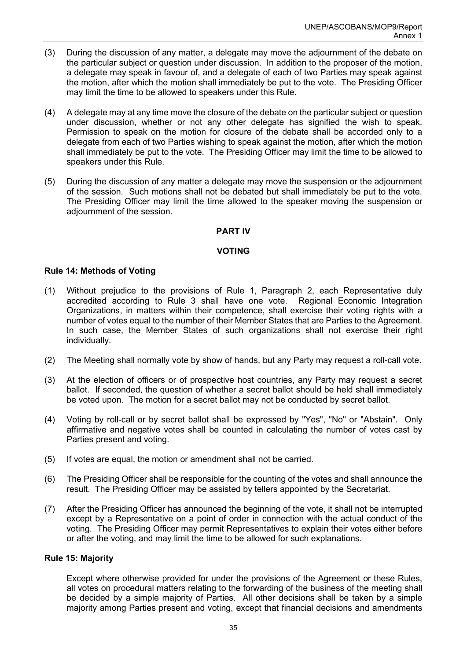- (3) During the discussion of any matter, a delegate may move the adjournment of the debate on the particular subject or question under discussion. In addition to the proposer of the motion, a delegate may speak in favour of, and a delegate of each of two Parties may speak against the motion, after which the motion shall immediately be put to the vote. The Presiding Officer may limit the time to be allowed to speakers under this Rule.
- (4) A delegate may at any time move the closure of the debate on the particular subject or question under discussion, whether or not any other delegate has signified the wish to speak. Permission to speak on the motion for closure of the debate shall be accorded only to a delegate from each of two Parties wishing to speak against the motion, after which the motion shall immediately be put to the vote. The Presiding Officer may limit the time to be allowed to speakers under this Rule.
- (5) During the discussion of any matter a delegate may move the suspension or the adjournment of the session. Such motions shall not be debated but shall immediately be put to the vote. The Presiding Officer may limit the time allowed to the speaker moving the suspension or adjournment of the session.

## **PART IV**

#### **VOTING**

## **Rule 14: Methods of Voting**

- (1) Without prejudice to the provisions of Rule 1, Paragraph 2, each Representative duly accredited according to Rule 3 shall have one vote. Regional Economic Integration Organizations, in matters within their competence, shall exercise their voting rights with a number of votes equal to the number of their Member States that are Parties to the Agreement. In such case, the Member States of such organizations shall not exercise their right individually.
- (2) The Meeting shall normally vote by show of hands, but any Party may request a roll-call vote.
- (3) At the election of officers or of prospective host countries, any Party may request a secret ballot. If seconded, the question of whether a secret ballot should be held shall immediately be voted upon. The motion for a secret ballot may not be conducted by secret ballot.
- (4) Voting by roll-call or by secret ballot shall be expressed by "Yes", "No" or "Abstain". Only affirmative and negative votes shall be counted in calculating the number of votes cast by Parties present and voting.
- (5) If votes are equal, the motion or amendment shall not be carried.
- (6) The Presiding Officer shall be responsible for the counting of the votes and shall announce the result. The Presiding Officer may be assisted by tellers appointed by the Secretariat.
- (7) After the Presiding Officer has announced the beginning of the vote, it shall not be interrupted except by a Representative on a point of order in connection with the actual conduct of the voting. The Presiding Officer may permit Representatives to explain their votes either before or after the voting, and may limit the time to be allowed for such explanations.

#### **Rule 15: Majority**

Except where otherwise provided for under the provisions of the Agreement or these Rules, all votes on procedural matters relating to the forwarding of the business of the meeting shall be decided by a simple majority of Parties. All other decisions shall be taken by a simple majority among Parties present and voting, except that financial decisions and amendments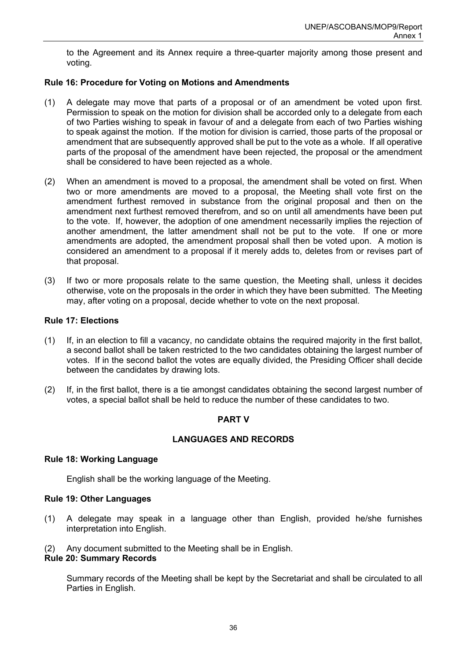to the Agreement and its Annex require a three-quarter majority among those present and voting.

# **Rule 16: Procedure for Voting on Motions and Amendments**

- (1) A delegate may move that parts of a proposal or of an amendment be voted upon first. Permission to speak on the motion for division shall be accorded only to a delegate from each of two Parties wishing to speak in favour of and a delegate from each of two Parties wishing to speak against the motion. If the motion for division is carried, those parts of the proposal or amendment that are subsequently approved shall be put to the vote as a whole. If all operative parts of the proposal of the amendment have been rejected, the proposal or the amendment shall be considered to have been rejected as a whole.
- (2) When an amendment is moved to a proposal, the amendment shall be voted on first. When two or more amendments are moved to a proposal, the Meeting shall vote first on the amendment furthest removed in substance from the original proposal and then on the amendment next furthest removed therefrom, and so on until all amendments have been put to the vote. If, however, the adoption of one amendment necessarily implies the rejection of another amendment, the latter amendment shall not be put to the vote. If one or more amendments are adopted, the amendment proposal shall then be voted upon. A motion is considered an amendment to a proposal if it merely adds to, deletes from or revises part of that proposal.
- (3) If two or more proposals relate to the same question, the Meeting shall, unless it decides otherwise, vote on the proposals in the order in which they have been submitted. The Meeting may, after voting on a proposal, decide whether to vote on the next proposal.

## **Rule 17: Elections**

- (1) If, in an election to fill a vacancy, no candidate obtains the required majority in the first ballot, a second ballot shall be taken restricted to the two candidates obtaining the largest number of votes. If in the second ballot the votes are equally divided, the Presiding Officer shall decide between the candidates by drawing lots.
- (2) If, in the first ballot, there is a tie amongst candidates obtaining the second largest number of votes, a special ballot shall be held to reduce the number of these candidates to two.

# **PART V**

# **LANGUAGES AND RECORDS**

## **Rule 18: Working Language**

English shall be the working language of the Meeting.

#### **Rule 19: Other Languages**

- (1) A delegate may speak in a language other than English, provided he/she furnishes interpretation into English.
- (2) Any document submitted to the Meeting shall be in English.

#### **Rule 20: Summary Records**

Summary records of the Meeting shall be kept by the Secretariat and shall be circulated to all Parties in English.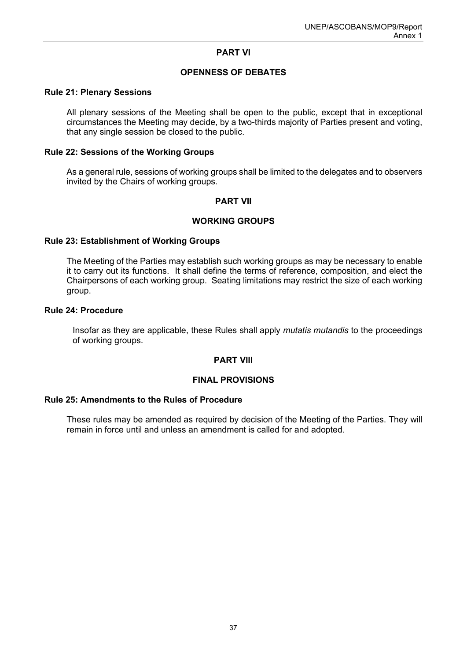## **PART VI**

### **OPENNESS OF DEBATES**

#### **Rule 21: Plenary Sessions**

All plenary sessions of the Meeting shall be open to the public, except that in exceptional circumstances the Meeting may decide, by a two-thirds majority of Parties present and voting, that any single session be closed to the public.

#### **Rule 22: Sessions of the Working Groups**

As a general rule, sessions of working groups shall be limited to the delegates and to observers invited by the Chairs of working groups.

## **PART VII**

# **WORKING GROUPS**

## **Rule 23: Establishment of Working Groups**

The Meeting of the Parties may establish such working groups as may be necessary to enable it to carry out its functions. It shall define the terms of reference, composition, and elect the Chairpersons of each working group. Seating limitations may restrict the size of each working group.

#### **Rule 24: Procedure**

Insofar as they are applicable, these Rules shall apply *mutatis mutandis* to the proceedings of working groups.

# **PART VIII**

## **FINAL PROVISIONS**

## **Rule 25: Amendments to the Rules of Procedure**

These rules may be amended as required by decision of the Meeting of the Parties. They will remain in force until and unless an amendment is called for and adopted.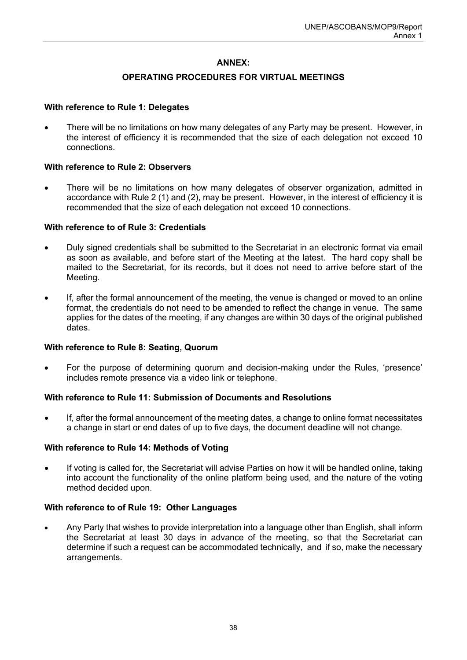# **ANNEX:**

## **OPERATING PROCEDURES FOR VIRTUAL MEETINGS**

## **With reference to Rule 1: Delegates**

• There will be no limitations on how many delegates of any Party may be present. However, in the interest of efficiency it is recommended that the size of each delegation not exceed 10 connections.

## **With reference to Rule 2: Observers**

There will be no limitations on how many delegates of observer organization, admitted in accordance with Rule 2 (1) and (2), may be present. However, in the interest of efficiency it is recommended that the size of each delegation not exceed 10 connections.

#### **With reference to of Rule 3: Credentials**

- Duly signed credentials shall be submitted to the Secretariat in an electronic format via email as soon as available, and before start of the Meeting at the latest. The hard copy shall be mailed to the Secretariat, for its records, but it does not need to arrive before start of the Meeting.
- If, after the formal announcement of the meeting, the venue is changed or moved to an online format, the credentials do not need to be amended to reflect the change in venue. The same applies for the dates of the meeting, if any changes are within 30 days of the original published dates.

## **With reference to Rule 8: Seating, Quorum**

• For the purpose of determining quorum and decision-making under the Rules, 'presence' includes remote presence via a video link or telephone.

#### **With reference to Rule 11: Submission of Documents and Resolutions**

If, after the formal announcement of the meeting dates, a change to online format necessitates a change in start or end dates of up to five days, the document deadline will not change.

#### **With reference to Rule 14: Methods of Voting**

If voting is called for, the Secretariat will advise Parties on how it will be handled online, taking into account the functionality of the online platform being used, and the nature of the voting method decided upon.

#### **With reference to of Rule 19: Other Languages**

• Any Party that wishes to provide interpretation into a language other than English, shall inform the Secretariat at least 30 days in advance of the meeting, so that the Secretariat can determine if such a request can be accommodated technically, and if so, make the necessary arrangements.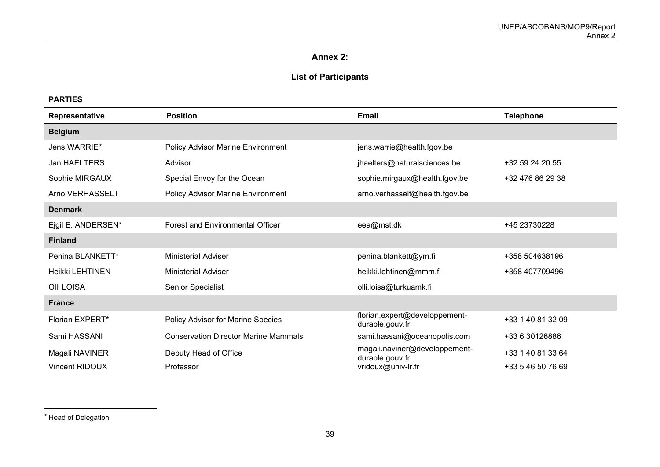## <span id="page-42-1"></span>**Annex 2:**

# **List of Participants**

## **PARTIES**

<span id="page-42-0"></span>

| <b>Representative</b>  | <b>Position</b>                             | <b>Email</b>                                     | <b>Telephone</b>  |
|------------------------|---------------------------------------------|--------------------------------------------------|-------------------|
| <b>Belgium</b>         |                                             |                                                  |                   |
| Jens WARRIE*           | Policy Advisor Marine Environment           | jens.warrie@health.fgov.be                       |                   |
| Jan HAELTERS           | Advisor                                     | jhaelters@naturalsciences.be                     | +32 59 24 20 55   |
| Sophie MIRGAUX         | Special Envoy for the Ocean                 | sophie.mirgaux@health.fgov.be                    | +32 476 86 29 38  |
| Arno VERHASSELT        | Policy Advisor Marine Environment           | arno.verhasselt@health.fgov.be                   |                   |
| <b>Denmark</b>         |                                             |                                                  |                   |
| Ejgil E. ANDERSEN*     | <b>Forest and Environmental Officer</b>     | eea@mst.dk                                       | +45 23730228      |
| <b>Finland</b>         |                                             |                                                  |                   |
| Penina BLANKETT*       | <b>Ministerial Adviser</b>                  | penina.blankett@ym.fi                            | +358 504638196    |
| <b>Heikki LEHTINEN</b> | <b>Ministerial Adviser</b>                  | heikki.lehtinen@mmm.fi                           | +358 407709496    |
| <b>Olli LOISA</b>      | Senior Specialist                           | olli.loisa@turkuamk.fi                           |                   |
| <b>France</b>          |                                             |                                                  |                   |
| <b>Florian EXPERT*</b> | Policy Advisor for Marine Species           | florian.expert@developpement-<br>durable.gouv.fr | +33 1 40 81 32 09 |
| Sami HASSANI           | <b>Conservation Director Marine Mammals</b> | sami.hassani@oceanopolis.com                     | +33 6 30126886    |
| Magali NAVINER         | Deputy Head of Office                       | magali.naviner@developpement-<br>durable.gouv.fr | +33 1 40 81 33 64 |
| <b>Vincent RIDOUX</b>  | Professor                                   | vridoux@univ-lr.fr                               | +33 5 46 50 76 69 |

<sup>\*</sup> Head of Delegation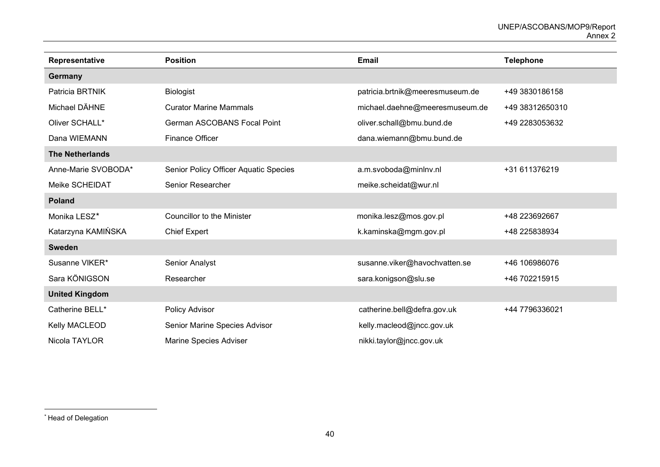<span id="page-43-0"></span>

| Representative         | <b>Position</b>                       | <b>Email</b>                    | <b>Telephone</b> |
|------------------------|---------------------------------------|---------------------------------|------------------|
| Germany                |                                       |                                 |                  |
| Patricia BRTNIK        | <b>Biologist</b>                      | patricia.brtnik@meeresmuseum.de | +49 3830186158   |
| Michael DÄHNE          | <b>Curator Marine Mammals</b>         | michael.daehne@meeresmuseum.de  | +49 38312650310  |
| Oliver SCHALL*         | German ASCOBANS Focal Point           | oliver.schall@bmu.bund.de       | +49 2283053632   |
| Dana WIEMANN           | <b>Finance Officer</b>                | dana.wiemann@bmu.bund.de        |                  |
| <b>The Netherlands</b> |                                       |                                 |                  |
| Anne-Marie SVOBODA*    | Senior Policy Officer Aquatic Species | a.m.svoboda@minlnv.nl           | +31 611376219    |
| Meike SCHEIDAT         | <b>Senior Researcher</b>              | meike.scheidat@wur.nl           |                  |
| <b>Poland</b>          |                                       |                                 |                  |
| Monika LESZ*           | <b>Councillor to the Minister</b>     | monika.lesz@mos.gov.pl          | +48 223692667    |
| Katarzyna KAMIŃSKA     | <b>Chief Expert</b>                   | k.kaminska@mgm.gov.pl           | +48 225838934    |
| <b>Sweden</b>          |                                       |                                 |                  |
| Susanne VIKER*         | Senior Analyst                        | susanne.viker@havochvatten.se   | +46 106986076    |
| Sara KÖNIGSON          | Researcher                            | sara.konigson@slu.se            | +46 702215915    |
| <b>United Kingdom</b>  |                                       |                                 |                  |
| Catherine BELL*        | Policy Advisor                        | catherine.bell@defra.gov.uk     | +44 7796336021   |
| Kelly MACLEOD          | Senior Marine Species Advisor         | kelly.macleod@jncc.gov.uk       |                  |
| Nicola TAYLOR          | Marine Species Adviser                | nikki.taylor@jncc.gov.uk        |                  |

<sup>\*</sup> Head of Delegation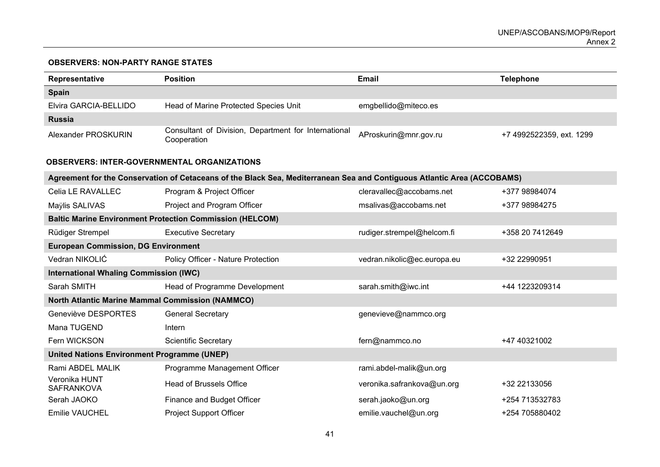## **OBSERVERS: NON-PARTY RANGE STATES**

| <b>Representative</b> | <b>Position</b>                                                     | <b>Email</b>          | Telephone                |
|-----------------------|---------------------------------------------------------------------|-----------------------|--------------------------|
| <b>Spain</b>          |                                                                     |                       |                          |
| Elvira GARCIA-BELLIDO | Head of Marine Protected Species Unit                               | emgbellido@miteco.es  |                          |
| <b>Russia</b>         |                                                                     |                       |                          |
| Alexander PROSKURIN   | Consultant of Division, Department for International<br>Cooperation | AProskurin@mnr.gov.ru | +7 4992522359, ext. 1299 |

#### **OBSERVERS: INTER-GOVERNMENTAL ORGANIZATIONS**

| Agreement for the Conservation of Cetaceans of the Black Sea, Mediterranean Sea and Contiguous Atlantic Area (ACCOBAMS) |                                                                 |                             |                 |  |  |
|-------------------------------------------------------------------------------------------------------------------------|-----------------------------------------------------------------|-----------------------------|-----------------|--|--|
| Celia LE RAVALLEC                                                                                                       | Program & Project Officer                                       | cleravallec@accobams.net    | +377 98984074   |  |  |
| Maÿlis SALIVAS                                                                                                          | Project and Program Officer                                     | msalivas@accobams.net       | +377 98984275   |  |  |
|                                                                                                                         | <b>Baltic Marine Environment Protection Commission (HELCOM)</b> |                             |                 |  |  |
| Rüdiger Strempel                                                                                                        | <b>Executive Secretary</b>                                      | rudiger.strempel@helcom.fi  | +358 20 7412649 |  |  |
| <b>European Commission, DG Environment</b>                                                                              |                                                                 |                             |                 |  |  |
| Vedran NIKOLIĆ                                                                                                          | Policy Officer - Nature Protection                              | vedran.nikolic@ec.europa.eu | +32 22990951    |  |  |
| <b>International Whaling Commission (IWC)</b>                                                                           |                                                                 |                             |                 |  |  |
| Sarah SMITH                                                                                                             | Head of Programme Development                                   | sarah.smith@iwc.int         | +44 1223209314  |  |  |
| <b>North Atlantic Marine Mammal Commission (NAMMCO)</b>                                                                 |                                                                 |                             |                 |  |  |
| Geneviève DESPORTES                                                                                                     | <b>General Secretary</b>                                        | genevieve@nammco.org        |                 |  |  |
| Mana TUGEND                                                                                                             | Intern                                                          |                             |                 |  |  |
| Fern WICKSON                                                                                                            | <b>Scientific Secretary</b>                                     | fern@nammco.no              | +47 40321002    |  |  |
| <b>United Nations Environment Programme (UNEP)</b>                                                                      |                                                                 |                             |                 |  |  |
| Rami ABDEL MALIK                                                                                                        | Programme Management Officer                                    | rami.abdel-malik@un.org     |                 |  |  |
| Veronika HUNT<br><b>SAFRANKOVA</b>                                                                                      | Head of Brussels Office                                         | veronika.safrankova@un.org  | +32 22133056    |  |  |
| Serah JAOKO                                                                                                             | Finance and Budget Officer                                      | serah.jaoko@un.org          | +254 713532783  |  |  |
| Emilie VAUCHEL                                                                                                          | <b>Project Support Officer</b>                                  | emilie.vauchel@un.org       | +254 705880402  |  |  |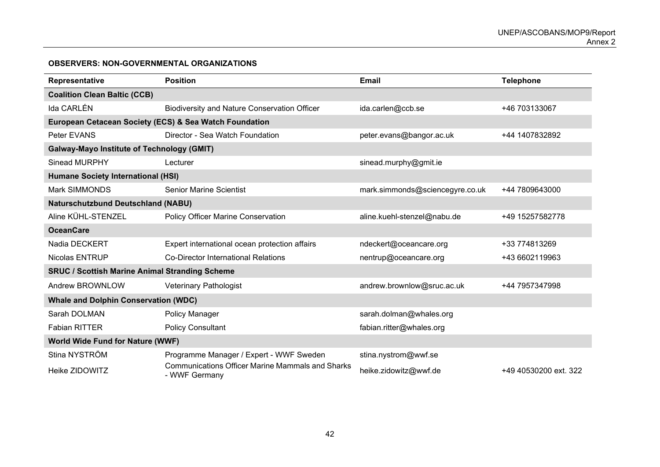## **OBSERVERS: NON-GOVERNMENTAL ORGANIZATIONS**

| Representative                                         | <b>Position</b>                                                          | <b>Email</b>                    | <b>Telephone</b>      |  |
|--------------------------------------------------------|--------------------------------------------------------------------------|---------------------------------|-----------------------|--|
| <b>Coalition Clean Baltic (CCB)</b>                    |                                                                          |                                 |                       |  |
| Ida CARLÉN                                             | <b>Biodiversity and Nature Conservation Officer</b>                      | ida.carlen@ccb.se               | +46 703133067         |  |
| European Cetacean Society (ECS) & Sea Watch Foundation |                                                                          |                                 |                       |  |
| Peter EVANS                                            | Director - Sea Watch Foundation                                          | peter.evans@bangor.ac.uk        | +44 1407832892        |  |
| <b>Galway-Mayo Institute of Technology (GMIT)</b>      |                                                                          |                                 |                       |  |
| Sinead MURPHY                                          | Lecturer                                                                 | sinead.murphy@gmit.ie           |                       |  |
| <b>Humane Society International (HSI)</b>              |                                                                          |                                 |                       |  |
| <b>Mark SIMMONDS</b>                                   | <b>Senior Marine Scientist</b>                                           | mark.simmonds@sciencegyre.co.uk | +44 7809643000        |  |
| <b>Naturschutzbund Deutschland (NABU)</b>              |                                                                          |                                 |                       |  |
| Aline KÜHL-STENZEL                                     | Policy Officer Marine Conservation                                       | aline.kuehl-stenzel@nabu.de     | +49 15257582778       |  |
| <b>OceanCare</b>                                       |                                                                          |                                 |                       |  |
| Nadia DECKERT                                          | Expert international ocean protection affairs                            | ndeckert@oceancare.org          | +33 774813269         |  |
| Nicolas ENTRUP                                         | <b>Co-Director International Relations</b>                               | nentrup@oceancare.org           | +43 6602119963        |  |
| <b>SRUC / Scottish Marine Animal Stranding Scheme</b>  |                                                                          |                                 |                       |  |
| Andrew BROWNLOW                                        | Veterinary Pathologist                                                   | andrew.brownlow@sruc.ac.uk      | +44 7957347998        |  |
| <b>Whale and Dolphin Conservation (WDC)</b>            |                                                                          |                                 |                       |  |
| Sarah DOLMAN                                           | Policy Manager                                                           | sarah.dolman@whales.org         |                       |  |
| <b>Fabian RITTER</b>                                   | <b>Policy Consultant</b>                                                 | fabian.ritter@whales.org        |                       |  |
| <b>World Wide Fund for Nature (WWF)</b>                |                                                                          |                                 |                       |  |
| Stina NYSTRÖM                                          | Programme Manager / Expert - WWF Sweden                                  | stina.nystrom@wwf.se            |                       |  |
| Heike ZIDOWITZ                                         | <b>Communications Officer Marine Mammals and Sharks</b><br>- WWF Germany | heike.zidowitz@wwf.de           | +49 40530200 ext. 322 |  |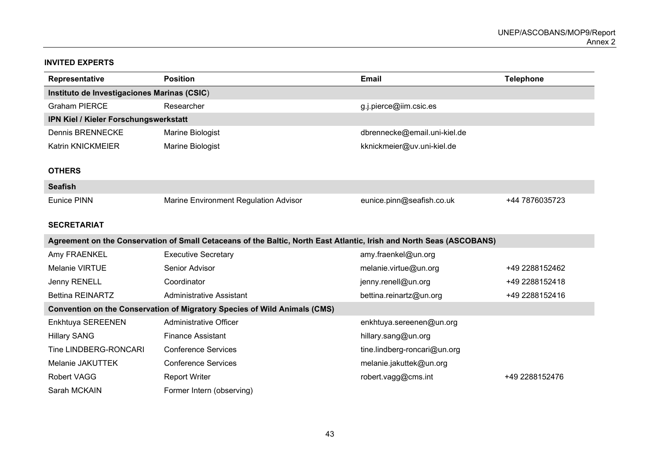## **INVITED EXPERTS**

| Representative                                                                   | <b>Position</b>                                                                                                      | <b>Email</b>                 | <b>Telephone</b> |  |
|----------------------------------------------------------------------------------|----------------------------------------------------------------------------------------------------------------------|------------------------------|------------------|--|
| Instituto de Investigaciones Marinas (CSIC)                                      |                                                                                                                      |                              |                  |  |
| <b>Graham PIERCE</b>                                                             | Researcher                                                                                                           | g.j.pierce@iim.csic.es       |                  |  |
| IPN Kiel / Kieler Forschungswerkstatt                                            |                                                                                                                      |                              |                  |  |
| <b>Dennis BRENNECKE</b>                                                          | Marine Biologist                                                                                                     | dbrennecke@email.uni-kiel.de |                  |  |
| Katrin KNICKMEIER                                                                | Marine Biologist                                                                                                     | kknickmeier@uv.uni-kiel.de   |                  |  |
|                                                                                  |                                                                                                                      |                              |                  |  |
| <b>OTHERS</b>                                                                    |                                                                                                                      |                              |                  |  |
| <b>Seafish</b>                                                                   |                                                                                                                      |                              |                  |  |
| Eunice PINN                                                                      | Marine Environment Regulation Advisor                                                                                | eunice.pinn@seafish.co.uk    | +44 7876035723   |  |
|                                                                                  |                                                                                                                      |                              |                  |  |
| <b>SECRETARIAT</b>                                                               |                                                                                                                      |                              |                  |  |
|                                                                                  | Agreement on the Conservation of Small Cetaceans of the Baltic, North East Atlantic, Irish and North Seas (ASCOBANS) |                              |                  |  |
| Amy FRAENKEL                                                                     | <b>Executive Secretary</b>                                                                                           | amy.fraenkel@un.org          |                  |  |
| <b>Melanie VIRTUE</b>                                                            | Senior Advisor                                                                                                       | melanie.virtue@un.org        | +49 2288152462   |  |
| Jenny RENELL                                                                     | Coordinator                                                                                                          | jenny.renell@un.org          | +49 2288152418   |  |
| <b>Bettina REINARTZ</b>                                                          | <b>Administrative Assistant</b>                                                                                      | bettina.reinartz@un.org      | +49 2288152416   |  |
| <b>Convention on the Conservation of Migratory Species of Wild Animals (CMS)</b> |                                                                                                                      |                              |                  |  |
| Enkhtuya SEREENEN                                                                | <b>Administrative Officer</b>                                                                                        | enkhtuya.sereenen@un.org     |                  |  |
| <b>Hillary SANG</b>                                                              | <b>Finance Assistant</b>                                                                                             | hillary.sang@un.org          |                  |  |
| <b>Tine LINDBERG-RONCARI</b>                                                     | <b>Conference Services</b>                                                                                           | tine.lindberg-roncari@un.org |                  |  |
| Melanie JAKUTTEK                                                                 | <b>Conference Services</b>                                                                                           | melanie.jakuttek@un.org      |                  |  |
| <b>Robert VAGG</b>                                                               | <b>Report Writer</b>                                                                                                 | robert.vagg@cms.int          | +49 2288152476   |  |
| Sarah MCKAIN                                                                     | Former Intern (observing)                                                                                            |                              |                  |  |